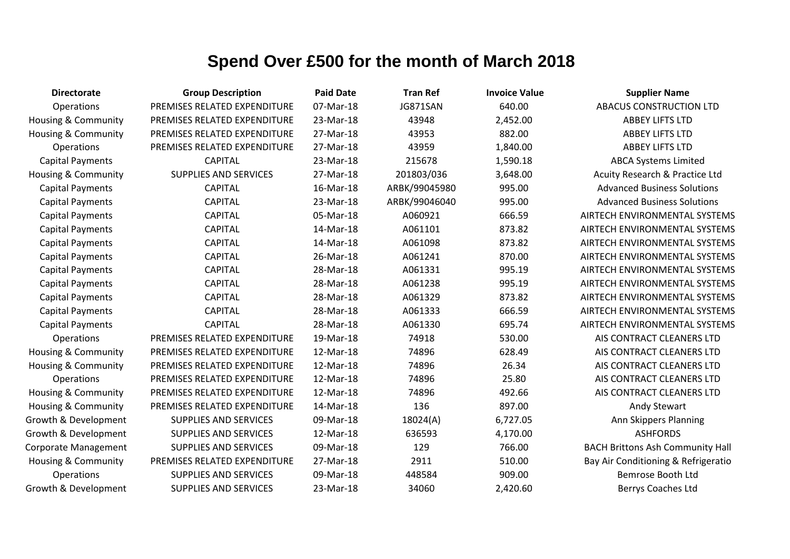| <b>Directorate</b>             | <b>Group Description</b>     | <b>Paid Date</b> | <b>Tran Ref</b> | <b>Invoice Value</b> | <b>Supplier Name</b>                    |
|--------------------------------|------------------------------|------------------|-----------------|----------------------|-----------------------------------------|
| Operations                     | PREMISES RELATED EXPENDITURE | 07-Mar-18        | JG871SAN        | 640.00               | <b>ABACUS CONSTRUCTION LTD</b>          |
| Housing & Community            | PREMISES RELATED EXPENDITURE | 23-Mar-18        | 43948           | 2,452.00             | <b>ABBEY LIFTS LTD</b>                  |
| Housing & Community            | PREMISES RELATED EXPENDITURE | 27-Mar-18        | 43953           | 882.00               | <b>ABBEY LIFTS LTD</b>                  |
| Operations                     | PREMISES RELATED EXPENDITURE | 27-Mar-18        | 43959           | 1,840.00             | <b>ABBEY LIFTS LTD</b>                  |
| <b>Capital Payments</b>        | <b>CAPITAL</b>               | 23-Mar-18        | 215678          | 1,590.18             | <b>ABCA Systems Limited</b>             |
| <b>Housing &amp; Community</b> | <b>SUPPLIES AND SERVICES</b> | 27-Mar-18        | 201803/036      | 3,648.00             | Acuity Research & Practice Ltd          |
| <b>Capital Payments</b>        | <b>CAPITAL</b>               | 16-Mar-18        | ARBK/99045980   | 995.00               | <b>Advanced Business Solutions</b>      |
| <b>Capital Payments</b>        | <b>CAPITAL</b>               | 23-Mar-18        | ARBK/99046040   | 995.00               | <b>Advanced Business Solutions</b>      |
| <b>Capital Payments</b>        | <b>CAPITAL</b>               | 05-Mar-18        | A060921         | 666.59               | AIRTECH ENVIRONMENTAL SYSTEMS           |
| <b>Capital Payments</b>        | <b>CAPITAL</b>               | 14-Mar-18        | A061101         | 873.82               | AIRTECH ENVIRONMENTAL SYSTEMS           |
| <b>Capital Payments</b>        | <b>CAPITAL</b>               | 14-Mar-18        | A061098         | 873.82               | AIRTECH ENVIRONMENTAL SYSTEMS           |
| <b>Capital Payments</b>        | <b>CAPITAL</b>               | 26-Mar-18        | A061241         | 870.00               | AIRTECH ENVIRONMENTAL SYSTEMS           |
| <b>Capital Payments</b>        | <b>CAPITAL</b>               | 28-Mar-18        | A061331         | 995.19               | AIRTECH ENVIRONMENTAL SYSTEMS           |
| <b>Capital Payments</b>        | <b>CAPITAL</b>               | 28-Mar-18        | A061238         | 995.19               | AIRTECH ENVIRONMENTAL SYSTEMS           |
| <b>Capital Payments</b>        | <b>CAPITAL</b>               | 28-Mar-18        | A061329         | 873.82               | AIRTECH ENVIRONMENTAL SYSTEMS           |
| <b>Capital Payments</b>        | <b>CAPITAL</b>               | 28-Mar-18        | A061333         | 666.59               | AIRTECH ENVIRONMENTAL SYSTEMS           |
| <b>Capital Payments</b>        | <b>CAPITAL</b>               | 28-Mar-18        | A061330         | 695.74               | AIRTECH ENVIRONMENTAL SYSTEMS           |
| Operations                     | PREMISES RELATED EXPENDITURE | 19-Mar-18        | 74918           | 530.00               | AIS CONTRACT CLEANERS LTD               |
| Housing & Community            | PREMISES RELATED EXPENDITURE | 12-Mar-18        | 74896           | 628.49               | AIS CONTRACT CLEANERS LTD               |
| <b>Housing &amp; Community</b> | PREMISES RELATED EXPENDITURE | 12-Mar-18        | 74896           | 26.34                | AIS CONTRACT CLEANERS LTD               |
| Operations                     | PREMISES RELATED EXPENDITURE | 12-Mar-18        | 74896           | 25.80                | AIS CONTRACT CLEANERS LTD               |
| <b>Housing &amp; Community</b> | PREMISES RELATED EXPENDITURE | 12-Mar-18        | 74896           | 492.66               | AIS CONTRACT CLEANERS LTD               |
| <b>Housing &amp; Community</b> | PREMISES RELATED EXPENDITURE | 14-Mar-18        | 136             | 897.00               | <b>Andy Stewart</b>                     |
| Growth & Development           | <b>SUPPLIES AND SERVICES</b> | 09-Mar-18        | 18024(A)        | 6,727.05             | Ann Skippers Planning                   |
| Growth & Development           | SUPPLIES AND SERVICES        | 12-Mar-18        | 636593          | 4,170.00             | <b>ASHFORDS</b>                         |
| Corporate Management           | <b>SUPPLIES AND SERVICES</b> | 09-Mar-18        | 129             | 766.00               | <b>BACH Brittons Ash Community Hall</b> |
| <b>Housing &amp; Community</b> | PREMISES RELATED EXPENDITURE | 27-Mar-18        | 2911            | 510.00               | Bay Air Conditioning & Refrigeratio     |
| Operations                     | <b>SUPPLIES AND SERVICES</b> | 09-Mar-18        | 448584          | 909.00               | Bemrose Booth Ltd                       |
| Growth & Development           | <b>SUPPLIES AND SERVICES</b> | 23-Mar-18        | 34060           | 2,420.60             | Berrys Coaches Ltd                      |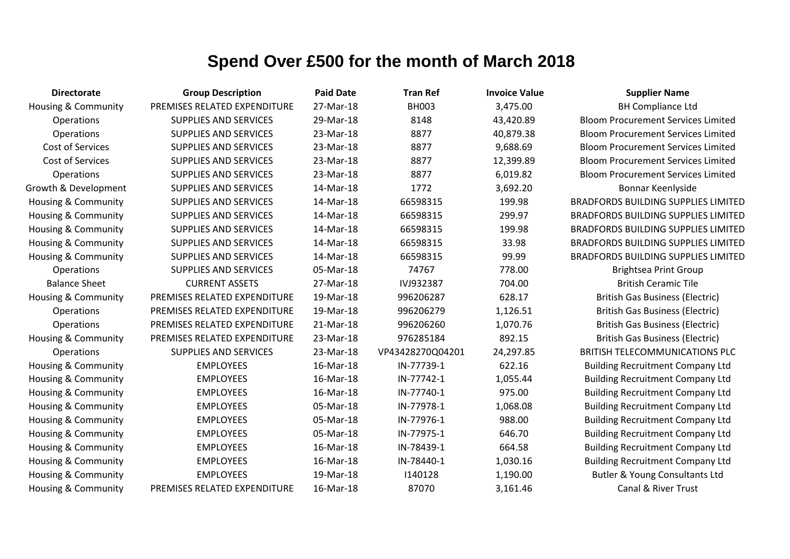| <b>Directorate</b>             | <b>Group Description</b>     | <b>Paid Date</b> | <b>Tran Ref</b>  | <b>Invoice Value</b> | <b>Supplier Name</b>                       |
|--------------------------------|------------------------------|------------------|------------------|----------------------|--------------------------------------------|
| Housing & Community            | PREMISES RELATED EXPENDITURE | 27-Mar-18        | <b>BH003</b>     | 3,475.00             | <b>BH Compliance Ltd</b>                   |
| <b>Operations</b>              | SUPPLIES AND SERVICES        | 29-Mar-18        | 8148             | 43,420.89            | <b>Bloom Procurement Services Limited</b>  |
| Operations                     | <b>SUPPLIES AND SERVICES</b> | 23-Mar-18        | 8877             | 40,879.38            | <b>Bloom Procurement Services Limited</b>  |
| Cost of Services               | <b>SUPPLIES AND SERVICES</b> | 23-Mar-18        | 8877             | 9,688.69             | <b>Bloom Procurement Services Limited</b>  |
| Cost of Services               | <b>SUPPLIES AND SERVICES</b> | 23-Mar-18        | 8877             | 12,399.89            | <b>Bloom Procurement Services Limited</b>  |
| Operations                     | <b>SUPPLIES AND SERVICES</b> | 23-Mar-18        | 8877             | 6,019.82             | <b>Bloom Procurement Services Limited</b>  |
| Growth & Development           | <b>SUPPLIES AND SERVICES</b> | 14-Mar-18        | 1772             | 3,692.20             | Bonnar Keenlyside                          |
| Housing & Community            | <b>SUPPLIES AND SERVICES</b> | 14-Mar-18        | 66598315         | 199.98               | <b>BRADFORDS BUILDING SUPPLIES LIMITED</b> |
| Housing & Community            | SUPPLIES AND SERVICES        | 14-Mar-18        | 66598315         | 299.97               | <b>BRADFORDS BUILDING SUPPLIES LIMITED</b> |
| Housing & Community            | <b>SUPPLIES AND SERVICES</b> | 14-Mar-18        | 66598315         | 199.98               | <b>BRADFORDS BUILDING SUPPLIES LIMITED</b> |
| Housing & Community            | <b>SUPPLIES AND SERVICES</b> | 14-Mar-18        | 66598315         | 33.98                | <b>BRADFORDS BUILDING SUPPLIES LIMITED</b> |
| <b>Housing &amp; Community</b> | <b>SUPPLIES AND SERVICES</b> | 14-Mar-18        | 66598315         | 99.99                | <b>BRADFORDS BUILDING SUPPLIES LIMITED</b> |
| Operations                     | <b>SUPPLIES AND SERVICES</b> | 05-Mar-18        | 74767            | 778.00               | <b>Brightsea Print Group</b>               |
| <b>Balance Sheet</b>           | <b>CURRENT ASSETS</b>        | 27-Mar-18        | IVJ932387        | 704.00               | <b>British Ceramic Tile</b>                |
| <b>Housing &amp; Community</b> | PREMISES RELATED EXPENDITURE | 19-Mar-18        | 996206287        | 628.17               | <b>British Gas Business (Electric)</b>     |
| <b>Operations</b>              | PREMISES RELATED EXPENDITURE | 19-Mar-18        | 996206279        | 1,126.51             | <b>British Gas Business (Electric)</b>     |
| Operations                     | PREMISES RELATED EXPENDITURE | 21-Mar-18        | 996206260        | 1,070.76             | <b>British Gas Business (Electric)</b>     |
| Housing & Community            | PREMISES RELATED EXPENDITURE | 23-Mar-18        | 976285184        | 892.15               | <b>British Gas Business (Electric)</b>     |
| Operations                     | <b>SUPPLIES AND SERVICES</b> | 23-Mar-18        | VP43428270Q04201 | 24,297.85            | <b>BRITISH TELECOMMUNICATIONS PLC</b>      |
| <b>Housing &amp; Community</b> | <b>EMPLOYEES</b>             | 16-Mar-18        | IN-77739-1       | 622.16               | <b>Building Recruitment Company Ltd</b>    |
| Housing & Community            | <b>EMPLOYEES</b>             | 16-Mar-18        | IN-77742-1       | 1,055.44             | <b>Building Recruitment Company Ltd</b>    |
| Housing & Community            | <b>EMPLOYEES</b>             | 16-Mar-18        | IN-77740-1       | 975.00               | <b>Building Recruitment Company Ltd</b>    |
| Housing & Community            | <b>EMPLOYEES</b>             | 05-Mar-18        | IN-77978-1       | 1,068.08             | <b>Building Recruitment Company Ltd</b>    |
| Housing & Community            | <b>EMPLOYEES</b>             | 05-Mar-18        | IN-77976-1       | 988.00               | <b>Building Recruitment Company Ltd</b>    |
| Housing & Community            | <b>EMPLOYEES</b>             | 05-Mar-18        | IN-77975-1       | 646.70               | <b>Building Recruitment Company Ltd</b>    |
| Housing & Community            | <b>EMPLOYEES</b>             | 16-Mar-18        | IN-78439-1       | 664.58               | <b>Building Recruitment Company Ltd</b>    |
| Housing & Community            | <b>EMPLOYEES</b>             | 16-Mar-18        | IN-78440-1       | 1,030.16             | <b>Building Recruitment Company Ltd</b>    |
| Housing & Community            | <b>EMPLOYEES</b>             | 19-Mar-18        | 1140128          | 1,190.00             | Butler & Young Consultants Ltd             |
| Housing & Community            | PREMISES RELATED EXPENDITURE | 16-Mar-18        | 87070            | 3,161.46             | Canal & River Trust                        |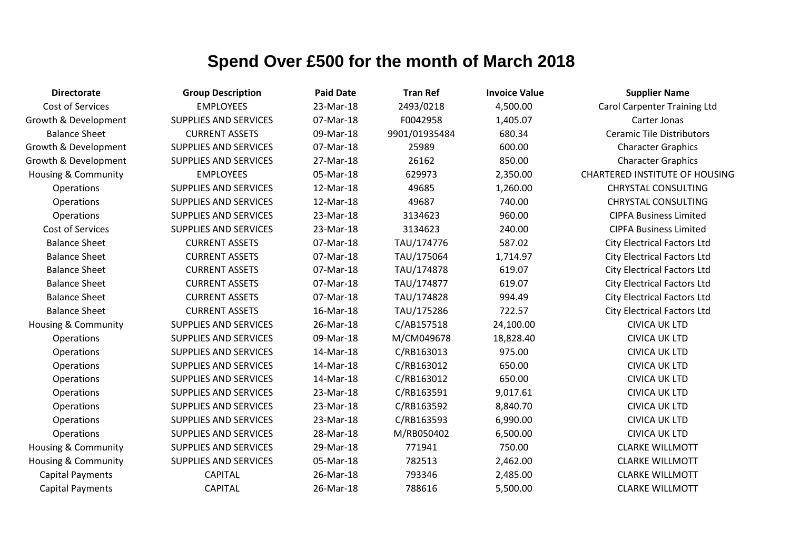| <b>Directorate</b>             | <b>Group Description</b>     | <b>Paid Date</b> | <b>Tran Ref</b> | <b>Invoice Value</b> | <b>Supplier Name</b>                  |
|--------------------------------|------------------------------|------------------|-----------------|----------------------|---------------------------------------|
| Cost of Services               | <b>EMPLOYEES</b>             | 23-Mar-18        | 2493/0218       | 4,500.00             | <b>Carol Carpenter Training Ltd</b>   |
| Growth & Development           | <b>SUPPLIES AND SERVICES</b> | 07-Mar-18        | F0042958        | 1,405.07             | Carter Jonas                          |
| <b>Balance Sheet</b>           | <b>CURRENT ASSETS</b>        | 09-Mar-18        | 9901/01935484   | 680.34               | <b>Ceramic Tile Distributors</b>      |
| Growth & Development           | <b>SUPPLIES AND SERVICES</b> | 07-Mar-18        | 25989           | 600.00               | <b>Character Graphics</b>             |
| Growth & Development           | SUPPLIES AND SERVICES        | 27-Mar-18        | 26162           | 850.00               | <b>Character Graphics</b>             |
| <b>Housing &amp; Community</b> | <b>EMPLOYEES</b>             | 05-Mar-18        | 629973          | 2,350.00             | <b>CHARTERED INSTITUTE OF HOUSING</b> |
| Operations                     | <b>SUPPLIES AND SERVICES</b> | 12-Mar-18        | 49685           | 1,260.00             | <b>CHRYSTAL CONSULTING</b>            |
| Operations                     | SUPPLIES AND SERVICES        | 12-Mar-18        | 49687           | 740.00               | <b>CHRYSTAL CONSULTING</b>            |
| Operations                     | <b>SUPPLIES AND SERVICES</b> | 23-Mar-18        | 3134623         | 960.00               | <b>CIPFA Business Limited</b>         |
| Cost of Services               | <b>SUPPLIES AND SERVICES</b> | 23-Mar-18        | 3134623         | 240.00               | <b>CIPFA Business Limited</b>         |
| <b>Balance Sheet</b>           | <b>CURRENT ASSETS</b>        | 07-Mar-18        | TAU/174776      | 587.02               | <b>City Electrical Factors Ltd</b>    |
| <b>Balance Sheet</b>           | <b>CURRENT ASSETS</b>        | 07-Mar-18        | TAU/175064      | 1,714.97             | <b>City Electrical Factors Ltd</b>    |
| <b>Balance Sheet</b>           | <b>CURRENT ASSETS</b>        | 07-Mar-18        | TAU/174878      | 619.07               | <b>City Electrical Factors Ltd</b>    |
| <b>Balance Sheet</b>           | <b>CURRENT ASSETS</b>        | 07-Mar-18        | TAU/174877      | 619.07               | <b>City Electrical Factors Ltd</b>    |
| <b>Balance Sheet</b>           | <b>CURRENT ASSETS</b>        | 07-Mar-18        | TAU/174828      | 994.49               | <b>City Electrical Factors Ltd</b>    |
| <b>Balance Sheet</b>           | <b>CURRENT ASSETS</b>        | 16-Mar-18        | TAU/175286      | 722.57               | <b>City Electrical Factors Ltd</b>    |
| <b>Housing &amp; Community</b> | <b>SUPPLIES AND SERVICES</b> | 26-Mar-18        | C/AB157518      | 24,100.00            | <b>CIVICA UK LTD</b>                  |
| <b>Operations</b>              | <b>SUPPLIES AND SERVICES</b> | 09-Mar-18        | M/CM049678      | 18,828.40            | <b>CIVICA UK LTD</b>                  |
| Operations                     | <b>SUPPLIES AND SERVICES</b> | 14-Mar-18        | C/RB163013      | 975.00               | <b>CIVICA UK LTD</b>                  |
| Operations                     | <b>SUPPLIES AND SERVICES</b> | 14-Mar-18        | C/RB163012      | 650.00               | <b>CIVICA UK LTD</b>                  |
| Operations                     | <b>SUPPLIES AND SERVICES</b> | 14-Mar-18        | C/RB163012      | 650.00               | <b>CIVICA UK LTD</b>                  |
| Operations                     | <b>SUPPLIES AND SERVICES</b> | 23-Mar-18        | C/RB163591      | 9,017.61             | <b>CIVICA UK LTD</b>                  |
| Operations                     | <b>SUPPLIES AND SERVICES</b> | 23-Mar-18        | C/RB163592      | 8,840.70             | <b>CIVICA UK LTD</b>                  |
| Operations                     | SUPPLIES AND SERVICES        | 23-Mar-18        | C/RB163593      | 6,990.00             | <b>CIVICA UK LTD</b>                  |
| Operations                     | <b>SUPPLIES AND SERVICES</b> | 28-Mar-18        | M/RB050402      | 6,500.00             | <b>CIVICA UK LTD</b>                  |
| Housing & Community            | <b>SUPPLIES AND SERVICES</b> | 29-Mar-18        | 771941          | 750.00               | <b>CLARKE WILLMOTT</b>                |
| Housing & Community            | <b>SUPPLIES AND SERVICES</b> | 05-Mar-18        | 782513          | 2,462.00             | <b>CLARKE WILLMOTT</b>                |
| <b>Capital Payments</b>        | <b>CAPITAL</b>               | 26-Mar-18        | 793346          | 2,485.00             | <b>CLARKE WILLMOTT</b>                |
| <b>Capital Payments</b>        | <b>CAPITAL</b>               | 26-Mar-18        | 788616          | 5,500.00             | <b>CLARKE WILLMOTT</b>                |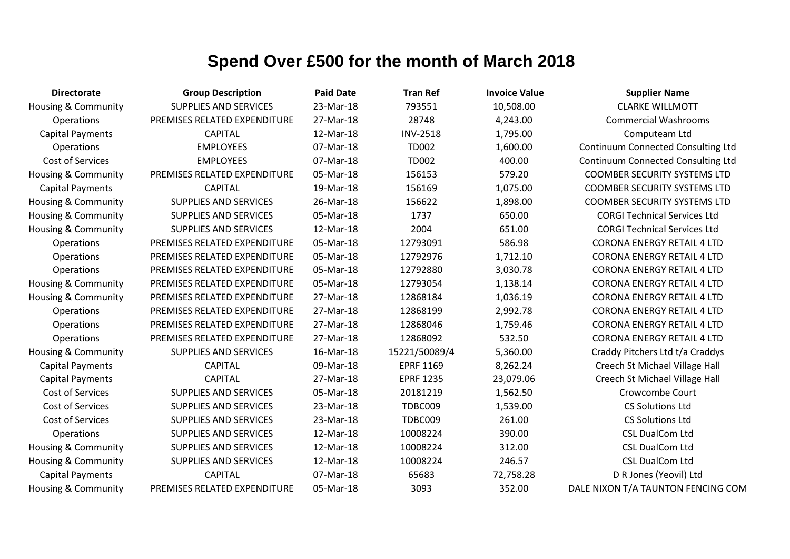| <b>Directorate</b>             | <b>Group Description</b>     | <b>Paid Date</b> | <b>Tran Ref</b>  | <b>Invoice Value</b> | <b>Supplier Name</b>                      |
|--------------------------------|------------------------------|------------------|------------------|----------------------|-------------------------------------------|
| Housing & Community            | <b>SUPPLIES AND SERVICES</b> | 23-Mar-18        | 793551           | 10,508.00            | <b>CLARKE WILLMOTT</b>                    |
| <b>Operations</b>              | PREMISES RELATED EXPENDITURE | 27-Mar-18        | 28748            | 4,243.00             | <b>Commercial Washrooms</b>               |
| <b>Capital Payments</b>        | <b>CAPITAL</b>               | 12-Mar-18        | <b>INV-2518</b>  | 1,795.00             | Computeam Ltd                             |
| Operations                     | <b>EMPLOYEES</b>             | 07-Mar-18        | <b>TD002</b>     | 1,600.00             | <b>Continuum Connected Consulting Ltd</b> |
| Cost of Services               | <b>EMPLOYEES</b>             | 07-Mar-18        | <b>TD002</b>     | 400.00               | <b>Continuum Connected Consulting Ltd</b> |
| <b>Housing &amp; Community</b> | PREMISES RELATED EXPENDITURE | 05-Mar-18        | 156153           | 579.20               | <b>COOMBER SECURITY SYSTEMS LTD</b>       |
| <b>Capital Payments</b>        | <b>CAPITAL</b>               | 19-Mar-18        | 156169           | 1,075.00             | <b>COOMBER SECURITY SYSTEMS LTD</b>       |
| <b>Housing &amp; Community</b> | SUPPLIES AND SERVICES        | 26-Mar-18        | 156622           | 1,898.00             | <b>COOMBER SECURITY SYSTEMS LTD</b>       |
| Housing & Community            | SUPPLIES AND SERVICES        | 05-Mar-18        | 1737             | 650.00               | <b>CORGI Technical Services Ltd</b>       |
| <b>Housing &amp; Community</b> | <b>SUPPLIES AND SERVICES</b> | 12-Mar-18        | 2004             | 651.00               | <b>CORGI Technical Services Ltd</b>       |
| Operations                     | PREMISES RELATED EXPENDITURE | 05-Mar-18        | 12793091         | 586.98               | <b>CORONA ENERGY RETAIL 4 LTD</b>         |
| Operations                     | PREMISES RELATED EXPENDITURE | 05-Mar-18        | 12792976         | 1,712.10             | <b>CORONA ENERGY RETAIL 4 LTD</b>         |
| Operations                     | PREMISES RELATED EXPENDITURE | 05-Mar-18        | 12792880         | 3,030.78             | <b>CORONA ENERGY RETAIL 4 LTD</b>         |
| <b>Housing &amp; Community</b> | PREMISES RELATED EXPENDITURE | 05-Mar-18        | 12793054         | 1,138.14             | <b>CORONA ENERGY RETAIL 4 LTD</b>         |
| <b>Housing &amp; Community</b> | PREMISES RELATED EXPENDITURE | 27-Mar-18        | 12868184         | 1,036.19             | <b>CORONA ENERGY RETAIL 4 LTD</b>         |
| Operations                     | PREMISES RELATED EXPENDITURE | 27-Mar-18        | 12868199         | 2,992.78             | <b>CORONA ENERGY RETAIL 4 LTD</b>         |
| Operations                     | PREMISES RELATED EXPENDITURE | 27-Mar-18        | 12868046         | 1,759.46             | <b>CORONA ENERGY RETAIL 4 LTD</b>         |
| Operations                     | PREMISES RELATED EXPENDITURE | 27-Mar-18        | 12868092         | 532.50               | <b>CORONA ENERGY RETAIL 4 LTD</b>         |
| Housing & Community            | SUPPLIES AND SERVICES        | 16-Mar-18        | 15221/50089/4    | 5,360.00             | Craddy Pitchers Ltd t/a Craddys           |
| <b>Capital Payments</b>        | <b>CAPITAL</b>               | 09-Mar-18        | <b>EPRF 1169</b> | 8,262.24             | Creech St Michael Village Hall            |
| <b>Capital Payments</b>        | <b>CAPITAL</b>               | 27-Mar-18        | <b>EPRF 1235</b> | 23,079.06            | Creech St Michael Village Hall            |
| Cost of Services               | <b>SUPPLIES AND SERVICES</b> | 05-Mar-18        | 20181219         | 1,562.50             | Crowcombe Court                           |
| Cost of Services               | <b>SUPPLIES AND SERVICES</b> | 23-Mar-18        | TDBC009          | 1,539.00             | <b>CS Solutions Ltd</b>                   |
| Cost of Services               | <b>SUPPLIES AND SERVICES</b> | 23-Mar-18        | TDBC009          | 261.00               | <b>CS Solutions Ltd</b>                   |
| Operations                     | <b>SUPPLIES AND SERVICES</b> | 12-Mar-18        | 10008224         | 390.00               | <b>CSL DualCom Ltd</b>                    |
| <b>Housing &amp; Community</b> | <b>SUPPLIES AND SERVICES</b> | 12-Mar-18        | 10008224         | 312.00               | <b>CSL DualCom Ltd</b>                    |
| <b>Housing &amp; Community</b> | <b>SUPPLIES AND SERVICES</b> | 12-Mar-18        | 10008224         | 246.57               | <b>CSL DualCom Ltd</b>                    |
| <b>Capital Payments</b>        | <b>CAPITAL</b>               | 07-Mar-18        | 65683            | 72,758.28            | D R Jones (Yeovil) Ltd                    |
| Housing & Community            | PREMISES RELATED EXPENDITURE | 05-Mar-18        | 3093             | 352.00               | DALE NIXON T/A TAUNTON FENCING COM        |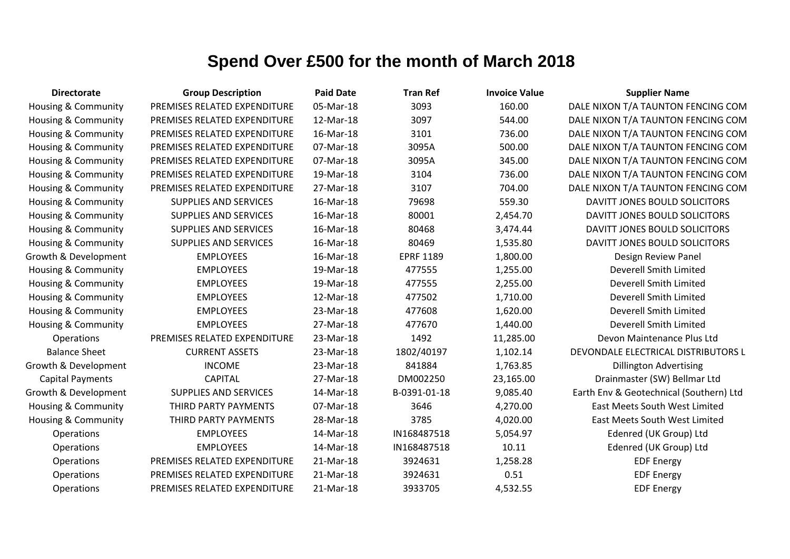| <b>Directorate</b>             | <b>Group Description</b>     | <b>Paid Date</b> | <b>Tran Ref</b>  | <b>Invoice Value</b> | <b>Supplier Name</b>                    |
|--------------------------------|------------------------------|------------------|------------------|----------------------|-----------------------------------------|
| Housing & Community            | PREMISES RELATED EXPENDITURE | 05-Mar-18        | 3093             | 160.00               | DALE NIXON T/A TAUNTON FENCING COM      |
| <b>Housing &amp; Community</b> | PREMISES RELATED EXPENDITURE | 12-Mar-18        | 3097             | 544.00               | DALE NIXON T/A TAUNTON FENCING COM      |
| Housing & Community            | PREMISES RELATED EXPENDITURE | 16-Mar-18        | 3101             | 736.00               | DALE NIXON T/A TAUNTON FENCING COM      |
| Housing & Community            | PREMISES RELATED EXPENDITURE | 07-Mar-18        | 3095A            | 500.00               | DALE NIXON T/A TAUNTON FENCING COM      |
| Housing & Community            | PREMISES RELATED EXPENDITURE | 07-Mar-18        | 3095A            | 345.00               | DALE NIXON T/A TAUNTON FENCING COM      |
| Housing & Community            | PREMISES RELATED EXPENDITURE | 19-Mar-18        | 3104             | 736.00               | DALE NIXON T/A TAUNTON FENCING COM      |
| Housing & Community            | PREMISES RELATED EXPENDITURE | 27-Mar-18        | 3107             | 704.00               | DALE NIXON T/A TAUNTON FENCING COM      |
| Housing & Community            | <b>SUPPLIES AND SERVICES</b> | 16-Mar-18        | 79698            | 559.30               | DAVITT JONES BOULD SOLICITORS           |
| Housing & Community            | <b>SUPPLIES AND SERVICES</b> | 16-Mar-18        | 80001            | 2,454.70             | DAVITT JONES BOULD SOLICITORS           |
| <b>Housing &amp; Community</b> | <b>SUPPLIES AND SERVICES</b> | 16-Mar-18        | 80468            | 3,474.44             | DAVITT JONES BOULD SOLICITORS           |
| Housing & Community            | <b>SUPPLIES AND SERVICES</b> | 16-Mar-18        | 80469            | 1,535.80             | DAVITT JONES BOULD SOLICITORS           |
| Growth & Development           | <b>EMPLOYEES</b>             | 16-Mar-18        | <b>EPRF 1189</b> | 1,800.00             | Design Review Panel                     |
| Housing & Community            | <b>EMPLOYEES</b>             | 19-Mar-18        | 477555           | 1,255.00             | Deverell Smith Limited                  |
| Housing & Community            | <b>EMPLOYEES</b>             | 19-Mar-18        | 477555           | 2,255.00             | Deverell Smith Limited                  |
| Housing & Community            | <b>EMPLOYEES</b>             | 12-Mar-18        | 477502           | 1,710.00             | Deverell Smith Limited                  |
| <b>Housing &amp; Community</b> | <b>EMPLOYEES</b>             | 23-Mar-18        | 477608           | 1,620.00             | Deverell Smith Limited                  |
| Housing & Community            | <b>EMPLOYEES</b>             | 27-Mar-18        | 477670           | 1,440.00             | Deverell Smith Limited                  |
| Operations                     | PREMISES RELATED EXPENDITURE | 23-Mar-18        | 1492             | 11,285.00            | Devon Maintenance Plus Ltd              |
| <b>Balance Sheet</b>           | <b>CURRENT ASSETS</b>        | 23-Mar-18        | 1802/40197       | 1,102.14             | DEVONDALE ELECTRICAL DISTRIBUTORS L     |
| Growth & Development           | <b>INCOME</b>                | 23-Mar-18        | 841884           | 1,763.85             | <b>Dillington Advertising</b>           |
| <b>Capital Payments</b>        | <b>CAPITAL</b>               | 27-Mar-18        | DM002250         | 23,165.00            | Drainmaster (SW) Bellmar Ltd            |
| Growth & Development           | <b>SUPPLIES AND SERVICES</b> | 14-Mar-18        | B-0391-01-18     | 9,085.40             | Earth Env & Geotechnical (Southern) Ltd |
| Housing & Community            | THIRD PARTY PAYMENTS         | 07-Mar-18        | 3646             | 4,270.00             | <b>East Meets South West Limited</b>    |
| <b>Housing &amp; Community</b> | THIRD PARTY PAYMENTS         | 28-Mar-18        | 3785             | 4,020.00             | East Meets South West Limited           |
| Operations                     | <b>EMPLOYEES</b>             | 14-Mar-18        | IN168487518      | 5,054.97             | Edenred (UK Group) Ltd                  |
| Operations                     | <b>EMPLOYEES</b>             | 14-Mar-18        | IN168487518      | 10.11                | Edenred (UK Group) Ltd                  |
| Operations                     | PREMISES RELATED EXPENDITURE | 21-Mar-18        | 3924631          | 1,258.28             | <b>EDF Energy</b>                       |
| Operations                     | PREMISES RELATED EXPENDITURE | 21-Mar-18        | 3924631          | 0.51                 | <b>EDF Energy</b>                       |
| Operations                     | PREMISES RELATED EXPENDITURE | 21-Mar-18        | 3933705          | 4,532.55             | <b>EDF Energy</b>                       |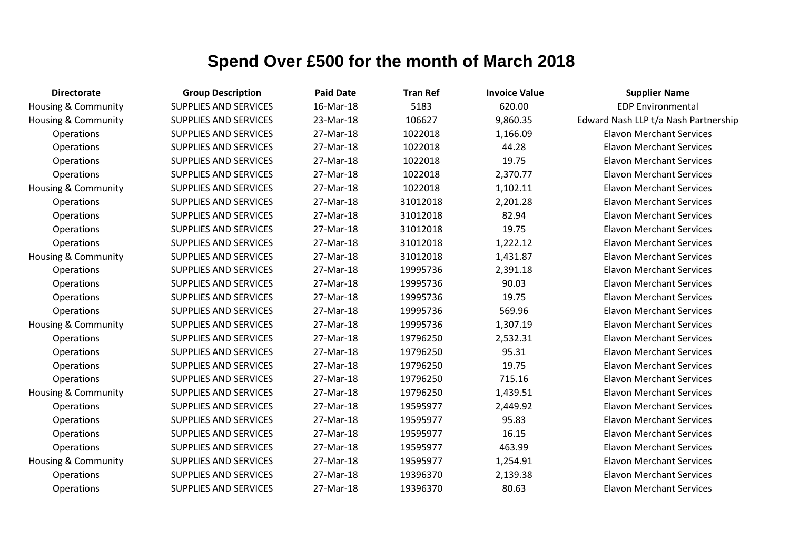| <b>Directorate</b>             | <b>Group Description</b>     | <b>Paid Date</b> | <b>Tran Ref</b> | <b>Invoice Value</b> | <b>Supplier Name</b>                 |
|--------------------------------|------------------------------|------------------|-----------------|----------------------|--------------------------------------|
| <b>Housing &amp; Community</b> | <b>SUPPLIES AND SERVICES</b> | 16-Mar-18        | 5183            | 620.00               | <b>EDP Environmental</b>             |
| Housing & Community            | <b>SUPPLIES AND SERVICES</b> | 23-Mar-18        | 106627          | 9,860.35             | Edward Nash LLP t/a Nash Partnership |
| Operations                     | <b>SUPPLIES AND SERVICES</b> | 27-Mar-18        | 1022018         | 1,166.09             | <b>Elavon Merchant Services</b>      |
| Operations                     | <b>SUPPLIES AND SERVICES</b> | 27-Mar-18        | 1022018         | 44.28                | <b>Elavon Merchant Services</b>      |
| Operations                     | <b>SUPPLIES AND SERVICES</b> | 27-Mar-18        | 1022018         | 19.75                | <b>Elavon Merchant Services</b>      |
| Operations                     | <b>SUPPLIES AND SERVICES</b> | 27-Mar-18        | 1022018         | 2,370.77             | <b>Elavon Merchant Services</b>      |
| Housing & Community            | <b>SUPPLIES AND SERVICES</b> | 27-Mar-18        | 1022018         | 1,102.11             | <b>Elavon Merchant Services</b>      |
| Operations                     | <b>SUPPLIES AND SERVICES</b> | 27-Mar-18        | 31012018        | 2,201.28             | <b>Elavon Merchant Services</b>      |
| Operations                     | <b>SUPPLIES AND SERVICES</b> | 27-Mar-18        | 31012018        | 82.94                | <b>Elavon Merchant Services</b>      |
| Operations                     | <b>SUPPLIES AND SERVICES</b> | 27-Mar-18        | 31012018        | 19.75                | <b>Elavon Merchant Services</b>      |
| Operations                     | <b>SUPPLIES AND SERVICES</b> | 27-Mar-18        | 31012018        | 1,222.12             | <b>Elavon Merchant Services</b>      |
| Housing & Community            | <b>SUPPLIES AND SERVICES</b> | 27-Mar-18        | 31012018        | 1,431.87             | <b>Elavon Merchant Services</b>      |
| Operations                     | <b>SUPPLIES AND SERVICES</b> | 27-Mar-18        | 19995736        | 2,391.18             | <b>Elavon Merchant Services</b>      |
| Operations                     | <b>SUPPLIES AND SERVICES</b> | 27-Mar-18        | 19995736        | 90.03                | <b>Elavon Merchant Services</b>      |
| Operations                     | <b>SUPPLIES AND SERVICES</b> | 27-Mar-18        | 19995736        | 19.75                | <b>Elavon Merchant Services</b>      |
| Operations                     | <b>SUPPLIES AND SERVICES</b> | 27-Mar-18        | 19995736        | 569.96               | <b>Elavon Merchant Services</b>      |
| <b>Housing &amp; Community</b> | <b>SUPPLIES AND SERVICES</b> | 27-Mar-18        | 19995736        | 1,307.19             | <b>Elavon Merchant Services</b>      |
| Operations                     | <b>SUPPLIES AND SERVICES</b> | 27-Mar-18        | 19796250        | 2,532.31             | <b>Elavon Merchant Services</b>      |
| Operations                     | <b>SUPPLIES AND SERVICES</b> | 27-Mar-18        | 19796250        | 95.31                | <b>Elavon Merchant Services</b>      |
| Operations                     | <b>SUPPLIES AND SERVICES</b> | 27-Mar-18        | 19796250        | 19.75                | <b>Elavon Merchant Services</b>      |
| Operations                     | <b>SUPPLIES AND SERVICES</b> | 27-Mar-18        | 19796250        | 715.16               | <b>Elavon Merchant Services</b>      |
| Housing & Community            | <b>SUPPLIES AND SERVICES</b> | 27-Mar-18        | 19796250        | 1,439.51             | <b>Elavon Merchant Services</b>      |
| Operations                     | <b>SUPPLIES AND SERVICES</b> | 27-Mar-18        | 19595977        | 2,449.92             | <b>Elavon Merchant Services</b>      |
| Operations                     | <b>SUPPLIES AND SERVICES</b> | 27-Mar-18        | 19595977        | 95.83                | <b>Elavon Merchant Services</b>      |
| Operations                     | <b>SUPPLIES AND SERVICES</b> | 27-Mar-18        | 19595977        | 16.15                | <b>Elavon Merchant Services</b>      |
| Operations                     | <b>SUPPLIES AND SERVICES</b> | 27-Mar-18        | 19595977        | 463.99               | <b>Elavon Merchant Services</b>      |
| Housing & Community            | SUPPLIES AND SERVICES        | 27-Mar-18        | 19595977        | 1,254.91             | <b>Elavon Merchant Services</b>      |
| Operations                     | <b>SUPPLIES AND SERVICES</b> | 27-Mar-18        | 19396370        | 2,139.38             | <b>Elavon Merchant Services</b>      |
| Operations                     | <b>SUPPLIES AND SERVICES</b> | 27-Mar-18        | 19396370        | 80.63                | <b>Elavon Merchant Services</b>      |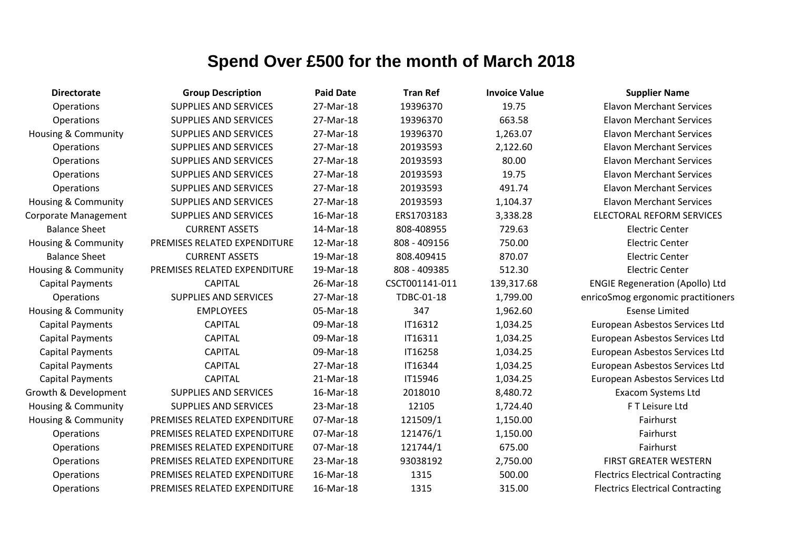| <b>Directorate</b>             | <b>Group Description</b>     | <b>Paid Date</b> | <b>Tran Ref</b> | <b>Invoice Value</b> | <b>Supplier Name</b>                    |
|--------------------------------|------------------------------|------------------|-----------------|----------------------|-----------------------------------------|
| Operations                     | <b>SUPPLIES AND SERVICES</b> | 27-Mar-18        | 19396370        | 19.75                | <b>Elavon Merchant Services</b>         |
| Operations                     | <b>SUPPLIES AND SERVICES</b> | 27-Mar-18        | 19396370        | 663.58               | <b>Elavon Merchant Services</b>         |
| <b>Housing &amp; Community</b> | <b>SUPPLIES AND SERVICES</b> | 27-Mar-18        | 19396370        | 1,263.07             | <b>Elavon Merchant Services</b>         |
| Operations                     | <b>SUPPLIES AND SERVICES</b> | 27-Mar-18        | 20193593        | 2,122.60             | <b>Elavon Merchant Services</b>         |
| Operations                     | <b>SUPPLIES AND SERVICES</b> | 27-Mar-18        | 20193593        | 80.00                | <b>Elavon Merchant Services</b>         |
| Operations                     | <b>SUPPLIES AND SERVICES</b> | 27-Mar-18        | 20193593        | 19.75                | <b>Elavon Merchant Services</b>         |
| Operations                     | <b>SUPPLIES AND SERVICES</b> | 27-Mar-18        | 20193593        | 491.74               | <b>Elavon Merchant Services</b>         |
| <b>Housing &amp; Community</b> | <b>SUPPLIES AND SERVICES</b> | 27-Mar-18        | 20193593        | 1,104.37             | <b>Elavon Merchant Services</b>         |
| Corporate Management           | <b>SUPPLIES AND SERVICES</b> | 16-Mar-18        | ERS1703183      | 3,338.28             | <b>ELECTORAL REFORM SERVICES</b>        |
| <b>Balance Sheet</b>           | <b>CURRENT ASSETS</b>        | 14-Mar-18        | 808-408955      | 729.63               | <b>Electric Center</b>                  |
| Housing & Community            | PREMISES RELATED EXPENDITURE | 12-Mar-18        | 808 - 409156    | 750.00               | <b>Electric Center</b>                  |
| <b>Balance Sheet</b>           | <b>CURRENT ASSETS</b>        | 19-Mar-18        | 808.409415      | 870.07               | <b>Electric Center</b>                  |
| <b>Housing &amp; Community</b> | PREMISES RELATED EXPENDITURE | 19-Mar-18        | 808 - 409385    | 512.30               | <b>Electric Center</b>                  |
| <b>Capital Payments</b>        | <b>CAPITAL</b>               | 26-Mar-18        | CSCT001141-011  | 139,317.68           | <b>ENGIE Regeneration (Apollo) Ltd</b>  |
| <b>Operations</b>              | <b>SUPPLIES AND SERVICES</b> | 27-Mar-18        | TDBC-01-18      | 1,799.00             | enricoSmog ergonomic practitioners      |
| <b>Housing &amp; Community</b> | <b>EMPLOYEES</b>             | 05-Mar-18        | 347             | 1,962.60             | <b>Esense Limited</b>                   |
| <b>Capital Payments</b>        | <b>CAPITAL</b>               | 09-Mar-18        | IT16312         | 1,034.25             | European Asbestos Services Ltd          |
| <b>Capital Payments</b>        | <b>CAPITAL</b>               | 09-Mar-18        | IT16311         | 1,034.25             | European Asbestos Services Ltd          |
| <b>Capital Payments</b>        | <b>CAPITAL</b>               | 09-Mar-18        | IT16258         | 1,034.25             | European Asbestos Services Ltd          |
| <b>Capital Payments</b>        | <b>CAPITAL</b>               | 27-Mar-18        | IT16344         | 1,034.25             | European Asbestos Services Ltd          |
| <b>Capital Payments</b>        | <b>CAPITAL</b>               | 21-Mar-18        | IT15946         | 1,034.25             | European Asbestos Services Ltd          |
| Growth & Development           | <b>SUPPLIES AND SERVICES</b> | 16-Mar-18        | 2018010         | 8,480.72             | Exacom Systems Ltd                      |
| Housing & Community            | <b>SUPPLIES AND SERVICES</b> | 23-Mar-18        | 12105           | 1,724.40             | F T Leisure Ltd                         |
| <b>Housing &amp; Community</b> | PREMISES RELATED EXPENDITURE | 07-Mar-18        | 121509/1        | 1,150.00             | Fairhurst                               |
| Operations                     | PREMISES RELATED EXPENDITURE | 07-Mar-18        | 121476/1        | 1,150.00             | Fairhurst                               |
| Operations                     | PREMISES RELATED EXPENDITURE | 07-Mar-18        | 121744/1        | 675.00               | Fairhurst                               |
| Operations                     | PREMISES RELATED EXPENDITURE | 23-Mar-18        | 93038192        | 2,750.00             | <b>FIRST GREATER WESTERN</b>            |
| Operations                     | PREMISES RELATED EXPENDITURE | 16-Mar-18        | 1315            | 500.00               | <b>Flectrics Electrical Contracting</b> |
| Operations                     | PREMISES RELATED EXPENDITURE | 16-Mar-18        | 1315            | 315.00               | <b>Flectrics Electrical Contracting</b> |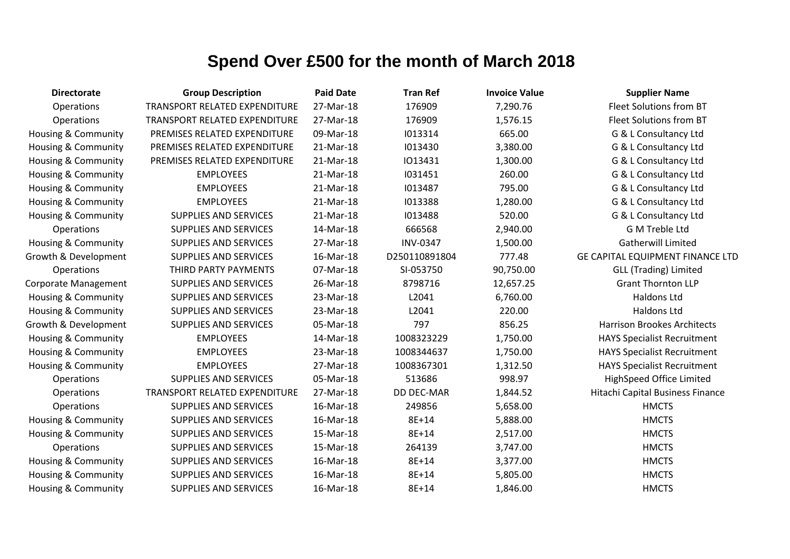| <b>Directorate</b>             | <b>Group Description</b>      | <b>Paid Date</b> | <b>Tran Ref</b>   | <b>Invoice Value</b> | <b>Supplier Name</b>               |
|--------------------------------|-------------------------------|------------------|-------------------|----------------------|------------------------------------|
| Operations                     | TRANSPORT RELATED EXPENDITURE | 27-Mar-18        | 176909            | 7,290.76             | Fleet Solutions from BT            |
| Operations                     | TRANSPORT RELATED EXPENDITURE | 27-Mar-18        | 176909            | 1,576.15             | Fleet Solutions from BT            |
| <b>Housing &amp; Community</b> | PREMISES RELATED EXPENDITURE  | 09-Mar-18        | 1013314           | 665.00               | G & L Consultancy Ltd              |
| Housing & Community            | PREMISES RELATED EXPENDITURE  | 21-Mar-18        | 1013430           | 3,380.00             | G & L Consultancy Ltd              |
| Housing & Community            | PREMISES RELATED EXPENDITURE  | 21-Mar-18        | 1013431           | 1,300.00             | G & L Consultancy Ltd              |
| Housing & Community            | <b>EMPLOYEES</b>              | 21-Mar-18        | 1031451           | 260.00               | G & L Consultancy Ltd              |
| Housing & Community            | <b>EMPLOYEES</b>              | 21-Mar-18        | 1013487           | 795.00               | G & L Consultancy Ltd              |
| Housing & Community            | <b>EMPLOYEES</b>              | 21-Mar-18        | 1013388           | 1,280.00             | G & L Consultancy Ltd              |
| <b>Housing &amp; Community</b> | <b>SUPPLIES AND SERVICES</b>  | 21-Mar-18        | 1013488           | 520.00               | G & L Consultancy Ltd              |
| <b>Operations</b>              | <b>SUPPLIES AND SERVICES</b>  | 14-Mar-18        | 666568            | 2,940.00             | G M Treble Ltd                     |
| Housing & Community            | <b>SUPPLIES AND SERVICES</b>  | 27-Mar-18        | <b>INV-0347</b>   | 1,500.00             | <b>Gatherwill Limited</b>          |
| Growth & Development           | <b>SUPPLIES AND SERVICES</b>  | 16-Mar-18        | D250110891804     | 777.48               | GE CAPITAL EQUIPMENT FINANCE LTD   |
| Operations                     | THIRD PARTY PAYMENTS          | 07-Mar-18        | SI-053750         | 90,750.00            | <b>GLL (Trading) Limited</b>       |
| Corporate Management           | <b>SUPPLIES AND SERVICES</b>  | 26-Mar-18        | 8798716           | 12,657.25            | <b>Grant Thornton LLP</b>          |
| Housing & Community            | <b>SUPPLIES AND SERVICES</b>  | 23-Mar-18        | L2041             | 6,760.00             | <b>Haldons Ltd</b>                 |
| Housing & Community            | <b>SUPPLIES AND SERVICES</b>  | 23-Mar-18        | L2041             | 220.00               | Haldons Ltd                        |
| Growth & Development           | <b>SUPPLIES AND SERVICES</b>  | 05-Mar-18        | 797               | 856.25               | <b>Harrison Brookes Architects</b> |
| Housing & Community            | <b>EMPLOYEES</b>              | 14-Mar-18        | 1008323229        | 1,750.00             | <b>HAYS Specialist Recruitment</b> |
| Housing & Community            | <b>EMPLOYEES</b>              | 23-Mar-18        | 1008344637        | 1,750.00             | <b>HAYS Specialist Recruitment</b> |
| <b>Housing &amp; Community</b> | <b>EMPLOYEES</b>              | 27-Mar-18        | 1008367301        | 1,312.50             | <b>HAYS Specialist Recruitment</b> |
| Operations                     | <b>SUPPLIES AND SERVICES</b>  | 05-Mar-18        | 513686            | 998.97               | HighSpeed Office Limited           |
| Operations                     | TRANSPORT RELATED EXPENDITURE | 27-Mar-18        | <b>DD DEC-MAR</b> | 1,844.52             | Hitachi Capital Business Finance   |
| Operations                     | <b>SUPPLIES AND SERVICES</b>  | 16-Mar-18        | 249856            | 5,658.00             | <b>HMCTS</b>                       |
| <b>Housing &amp; Community</b> | <b>SUPPLIES AND SERVICES</b>  | 16-Mar-18        | 8E+14             | 5,888.00             | <b>HMCTS</b>                       |
| Housing & Community            | <b>SUPPLIES AND SERVICES</b>  | 15-Mar-18        | 8E+14             | 2,517.00             | <b>HMCTS</b>                       |
| Operations                     | <b>SUPPLIES AND SERVICES</b>  | 15-Mar-18        | 264139            | 3,747.00             | <b>HMCTS</b>                       |
| <b>Housing &amp; Community</b> | <b>SUPPLIES AND SERVICES</b>  | 16-Mar-18        | 8E+14             | 3,377.00             | <b>HMCTS</b>                       |
| <b>Housing &amp; Community</b> | <b>SUPPLIES AND SERVICES</b>  | 16-Mar-18        | 8E+14             | 5,805.00             | <b>HMCTS</b>                       |
| <b>Housing &amp; Community</b> | <b>SUPPLIES AND SERVICES</b>  | 16-Mar-18        | 8E+14             | 1,846.00             | <b>HMCTS</b>                       |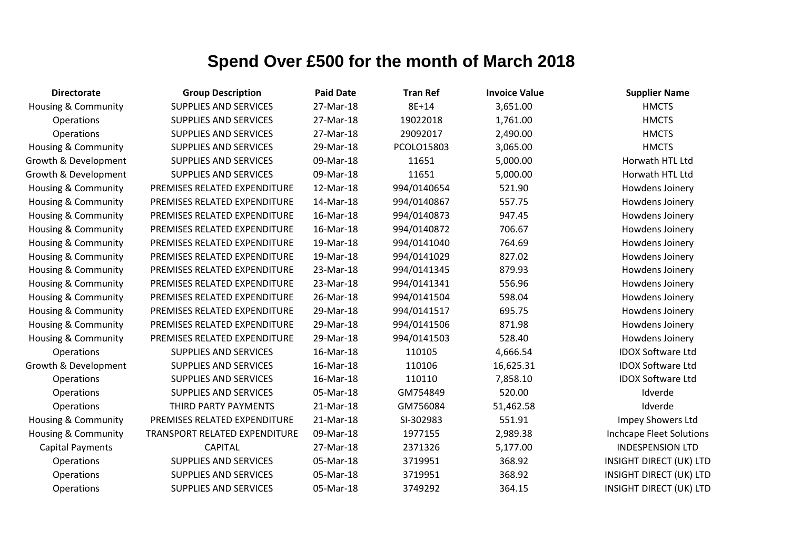| <b>Directorate</b>             | <b>Group Description</b>      | <b>Paid Date</b> | <b>Tran Ref</b> | <b>Invoice Value</b> | <b>Supplier Name</b>           |
|--------------------------------|-------------------------------|------------------|-----------------|----------------------|--------------------------------|
| <b>Housing &amp; Community</b> | <b>SUPPLIES AND SERVICES</b>  | 27-Mar-18        | 8E+14           | 3,651.00             | <b>HMCTS</b>                   |
| Operations                     | <b>SUPPLIES AND SERVICES</b>  | 27-Mar-18        | 19022018        | 1,761.00             | <b>HMCTS</b>                   |
| Operations                     | <b>SUPPLIES AND SERVICES</b>  | 27-Mar-18        | 29092017        | 2,490.00             | <b>HMCTS</b>                   |
| <b>Housing &amp; Community</b> | <b>SUPPLIES AND SERVICES</b>  | 29-Mar-18        | PCOLO15803      | 3,065.00             | <b>HMCTS</b>                   |
| Growth & Development           | <b>SUPPLIES AND SERVICES</b>  | 09-Mar-18        | 11651           | 5,000.00             | Horwath HTL Ltd                |
| Growth & Development           | <b>SUPPLIES AND SERVICES</b>  | 09-Mar-18        | 11651           | 5,000.00             | Horwath HTL Ltd                |
| Housing & Community            | PREMISES RELATED EXPENDITURE  | 12-Mar-18        | 994/0140654     | 521.90               | Howdens Joinery                |
| Housing & Community            | PREMISES RELATED EXPENDITURE  | 14-Mar-18        | 994/0140867     | 557.75               | Howdens Joinery                |
| Housing & Community            | PREMISES RELATED EXPENDITURE  | 16-Mar-18        | 994/0140873     | 947.45               | Howdens Joinery                |
| Housing & Community            | PREMISES RELATED EXPENDITURE  | 16-Mar-18        | 994/0140872     | 706.67               | Howdens Joinery                |
| <b>Housing &amp; Community</b> | PREMISES RELATED EXPENDITURE  | 19-Mar-18        | 994/0141040     | 764.69               | Howdens Joinery                |
| Housing & Community            | PREMISES RELATED EXPENDITURE  | 19-Mar-18        | 994/0141029     | 827.02               | Howdens Joinery                |
| Housing & Community            | PREMISES RELATED EXPENDITURE  | 23-Mar-18        | 994/0141345     | 879.93               | Howdens Joinery                |
| Housing & Community            | PREMISES RELATED EXPENDITURE  | 23-Mar-18        | 994/0141341     | 556.96               | Howdens Joinery                |
| <b>Housing &amp; Community</b> | PREMISES RELATED EXPENDITURE  | 26-Mar-18        | 994/0141504     | 598.04               | Howdens Joinery                |
| Housing & Community            | PREMISES RELATED EXPENDITURE  | 29-Mar-18        | 994/0141517     | 695.75               | Howdens Joinery                |
| Housing & Community            | PREMISES RELATED EXPENDITURE  | 29-Mar-18        | 994/0141506     | 871.98               | Howdens Joinery                |
| <b>Housing &amp; Community</b> | PREMISES RELATED EXPENDITURE  | 29-Mar-18        | 994/0141503     | 528.40               | Howdens Joinery                |
| Operations                     | <b>SUPPLIES AND SERVICES</b>  | 16-Mar-18        | 110105          | 4,666.54             | <b>IDOX Software Ltd</b>       |
| Growth & Development           | <b>SUPPLIES AND SERVICES</b>  | 16-Mar-18        | 110106          | 16,625.31            | <b>IDOX Software Ltd</b>       |
| Operations                     | <b>SUPPLIES AND SERVICES</b>  | 16-Mar-18        | 110110          | 7,858.10             | <b>IDOX Software Ltd</b>       |
| Operations                     | <b>SUPPLIES AND SERVICES</b>  | 05-Mar-18        | GM754849        | 520.00               | Idverde                        |
| Operations                     | THIRD PARTY PAYMENTS          | 21-Mar-18        | GM756084        | 51,462.58            | Idverde                        |
| Housing & Community            | PREMISES RELATED EXPENDITURE  | 21-Mar-18        | SI-302983       | 551.91               | Impey Showers Ltd              |
| <b>Housing &amp; Community</b> | TRANSPORT RELATED EXPENDITURE | 09-Mar-18        | 1977155         | 2,989.38             | Inchcape Fleet Solutions       |
| <b>Capital Payments</b>        | <b>CAPITAL</b>                | 27-Mar-18        | 2371326         | 5,177.00             | <b>INDESPENSION LTD</b>        |
| Operations                     | <b>SUPPLIES AND SERVICES</b>  | 05-Mar-18        | 3719951         | 368.92               | <b>INSIGHT DIRECT (UK) LTD</b> |
| Operations                     | <b>SUPPLIES AND SERVICES</b>  | 05-Mar-18        | 3719951         | 368.92               | <b>INSIGHT DIRECT (UK) LTD</b> |
| Operations                     | <b>SUPPLIES AND SERVICES</b>  | 05-Mar-18        | 3749292         | 364.15               | <b>INSIGHT DIRECT (UK) LTD</b> |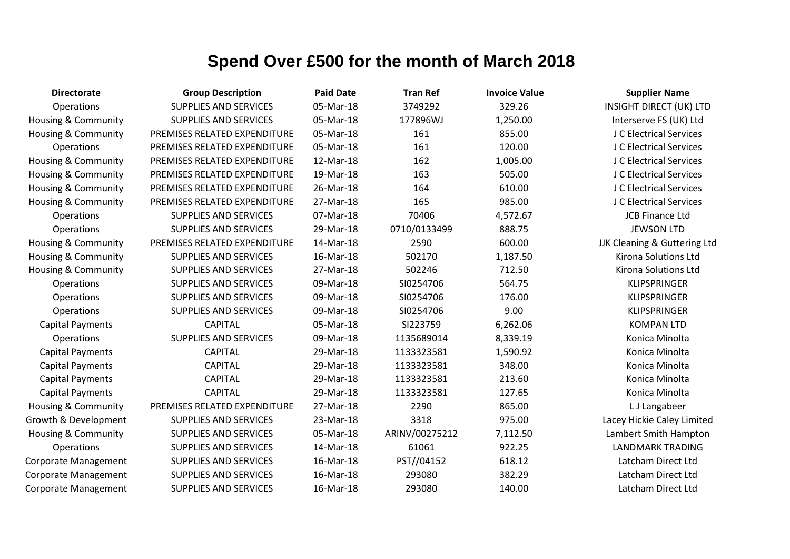| <b>Directorate</b>             | <b>Group Description</b>     | <b>Paid Date</b> | <b>Tran Ref</b> | <b>Invoice Value</b> | <b>Supplier Name</b>           |
|--------------------------------|------------------------------|------------------|-----------------|----------------------|--------------------------------|
| Operations                     | <b>SUPPLIES AND SERVICES</b> | 05-Mar-18        | 3749292         | 329.26               | <b>INSIGHT DIRECT (UK) LTD</b> |
| <b>Housing &amp; Community</b> | <b>SUPPLIES AND SERVICES</b> | 05-Mar-18        | 177896WJ        | 1,250.00             | Interserve FS (UK) Ltd         |
| Housing & Community            | PREMISES RELATED EXPENDITURE | 05-Mar-18        | 161             | 855.00               | J C Electrical Services        |
| Operations                     | PREMISES RELATED EXPENDITURE | 05-Mar-18        | 161             | 120.00               | J C Electrical Services        |
| Housing & Community            | PREMISES RELATED EXPENDITURE | 12-Mar-18        | 162             | 1,005.00             | J C Electrical Services        |
| Housing & Community            | PREMISES RELATED EXPENDITURE | 19-Mar-18        | 163             | 505.00               | J C Electrical Services        |
| <b>Housing &amp; Community</b> | PREMISES RELATED EXPENDITURE | 26-Mar-18        | 164             | 610.00               | J C Electrical Services        |
| Housing & Community            | PREMISES RELATED EXPENDITURE | 27-Mar-18        | 165             | 985.00               | J C Electrical Services        |
| Operations                     | <b>SUPPLIES AND SERVICES</b> | 07-Mar-18        | 70406           | 4,572.67             | <b>JCB Finance Ltd</b>         |
| Operations                     | <b>SUPPLIES AND SERVICES</b> | 29-Mar-18        | 0710/0133499    | 888.75               | <b>JEWSON LTD</b>              |
| Housing & Community            | PREMISES RELATED EXPENDITURE | 14-Mar-18        | 2590            | 600.00               | JJK Cleaning & Guttering Ltd   |
| <b>Housing &amp; Community</b> | <b>SUPPLIES AND SERVICES</b> | 16-Mar-18        | 502170          | 1,187.50             | Kirona Solutions Ltd           |
| Housing & Community            | <b>SUPPLIES AND SERVICES</b> | 27-Mar-18        | 502246          | 712.50               | Kirona Solutions Ltd           |
| Operations                     | <b>SUPPLIES AND SERVICES</b> | 09-Mar-18        | SI0254706       | 564.75               | <b>KLIPSPRINGER</b>            |
| Operations                     | <b>SUPPLIES AND SERVICES</b> | 09-Mar-18        | SI0254706       | 176.00               | <b>KLIPSPRINGER</b>            |
| Operations                     | <b>SUPPLIES AND SERVICES</b> | 09-Mar-18        | SI0254706       | 9.00                 | <b>KLIPSPRINGER</b>            |
| <b>Capital Payments</b>        | <b>CAPITAL</b>               | 05-Mar-18        | SI223759        | 6,262.06             | <b>KOMPAN LTD</b>              |
| Operations                     | SUPPLIES AND SERVICES        | 09-Mar-18        | 1135689014      | 8,339.19             | Konica Minolta                 |
| <b>Capital Payments</b>        | <b>CAPITAL</b>               | 29-Mar-18        | 1133323581      | 1,590.92             | Konica Minolta                 |
| <b>Capital Payments</b>        | <b>CAPITAL</b>               | 29-Mar-18        | 1133323581      | 348.00               | Konica Minolta                 |
| <b>Capital Payments</b>        | <b>CAPITAL</b>               | 29-Mar-18        | 1133323581      | 213.60               | Konica Minolta                 |
| <b>Capital Payments</b>        | <b>CAPITAL</b>               | 29-Mar-18        | 1133323581      | 127.65               | Konica Minolta                 |
| Housing & Community            | PREMISES RELATED EXPENDITURE | 27-Mar-18        | 2290            | 865.00               | L J Langabeer                  |
| Growth & Development           | <b>SUPPLIES AND SERVICES</b> | 23-Mar-18        | 3318            | 975.00               | Lacey Hickie Caley Limited     |
| <b>Housing &amp; Community</b> | <b>SUPPLIES AND SERVICES</b> | 05-Mar-18        | ARINV/00275212  | 7,112.50             | Lambert Smith Hampton          |
| Operations                     | <b>SUPPLIES AND SERVICES</b> | 14-Mar-18        | 61061           | 922.25               | <b>LANDMARK TRADING</b>        |
| Corporate Management           | <b>SUPPLIES AND SERVICES</b> | 16-Mar-18        | PST//04152      | 618.12               | Latcham Direct Ltd             |
| Corporate Management           | <b>SUPPLIES AND SERVICES</b> | 16-Mar-18        | 293080          | 382.29               | Latcham Direct Ltd             |
| <b>Corporate Management</b>    | <b>SUPPLIES AND SERVICES</b> | 16-Mar-18        | 293080          | 140.00               | Latcham Direct Ltd             |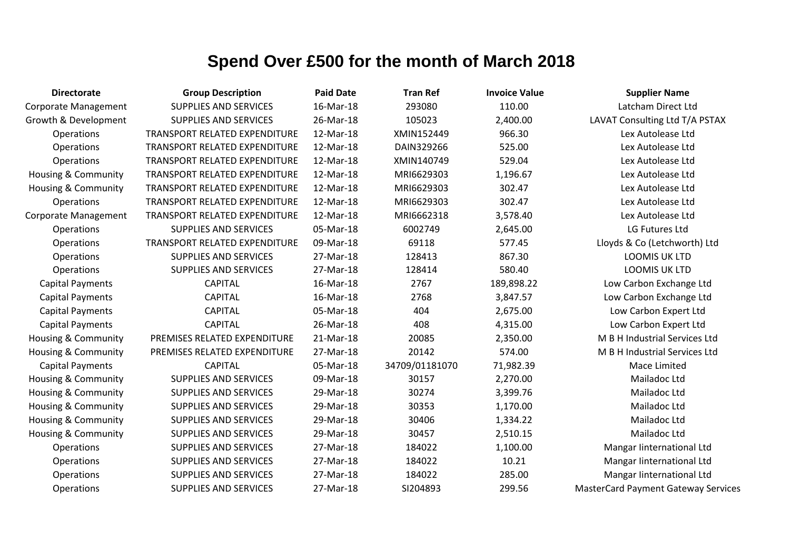| <b>Directorate</b>             | <b>Group Description</b>             | <b>Paid Date</b> | <b>Tran Ref</b> | <b>Invoice Value</b> | <b>Supplier Name</b>                       |
|--------------------------------|--------------------------------------|------------------|-----------------|----------------------|--------------------------------------------|
| <b>Corporate Management</b>    | <b>SUPPLIES AND SERVICES</b>         | 16-Mar-18        | 293080          | 110.00               | Latcham Direct Ltd                         |
| Growth & Development           | <b>SUPPLIES AND SERVICES</b>         | 26-Mar-18        | 105023          | 2,400.00             | LAVAT Consulting Ltd T/A PSTAX             |
| Operations                     | <b>TRANSPORT RELATED EXPENDITURE</b> | 12-Mar-18        | XMIN152449      | 966.30               | Lex Autolease Ltd                          |
| Operations                     | TRANSPORT RELATED EXPENDITURE        | 12-Mar-18        | DAIN329266      | 525.00               | Lex Autolease Ltd                          |
| Operations                     | TRANSPORT RELATED EXPENDITURE        | 12-Mar-18        | XMIN140749      | 529.04               | Lex Autolease Ltd                          |
| <b>Housing &amp; Community</b> | TRANSPORT RELATED EXPENDITURE        | 12-Mar-18        | MRI6629303      | 1,196.67             | Lex Autolease Ltd                          |
| Housing & Community            | TRANSPORT RELATED EXPENDITURE        | 12-Mar-18        | MRI6629303      | 302.47               | Lex Autolease Ltd                          |
| Operations                     | TRANSPORT RELATED EXPENDITURE        | 12-Mar-18        | MRI6629303      | 302.47               | Lex Autolease Ltd                          |
| Corporate Management           | TRANSPORT RELATED EXPENDITURE        | 12-Mar-18        | MRI6662318      | 3,578.40             | Lex Autolease Ltd                          |
| Operations                     | <b>SUPPLIES AND SERVICES</b>         | 05-Mar-18        | 6002749         | 2,645.00             | LG Futures Ltd                             |
| Operations                     | <b>TRANSPORT RELATED EXPENDITURE</b> | 09-Mar-18        | 69118           | 577.45               | Lloyds & Co (Letchworth) Ltd               |
| Operations                     | <b>SUPPLIES AND SERVICES</b>         | 27-Mar-18        | 128413          | 867.30               | <b>LOOMIS UK LTD</b>                       |
| Operations                     | <b>SUPPLIES AND SERVICES</b>         | 27-Mar-18        | 128414          | 580.40               | LOOMIS UK LTD                              |
| <b>Capital Payments</b>        | <b>CAPITAL</b>                       | 16-Mar-18        | 2767            | 189,898.22           | Low Carbon Exchange Ltd                    |
| <b>Capital Payments</b>        | <b>CAPITAL</b>                       | 16-Mar-18        | 2768            | 3,847.57             | Low Carbon Exchange Ltd                    |
| <b>Capital Payments</b>        | <b>CAPITAL</b>                       | 05-Mar-18        | 404             | 2,675.00             | Low Carbon Expert Ltd                      |
| <b>Capital Payments</b>        | <b>CAPITAL</b>                       | 26-Mar-18        | 408             | 4,315.00             | Low Carbon Expert Ltd                      |
| Housing & Community            | PREMISES RELATED EXPENDITURE         | 21-Mar-18        | 20085           | 2,350.00             | M B H Industrial Services Ltd              |
| Housing & Community            | PREMISES RELATED EXPENDITURE         | 27-Mar-18        | 20142           | 574.00               | M B H Industrial Services Ltd              |
| <b>Capital Payments</b>        | <b>CAPITAL</b>                       | 05-Mar-18        | 34709/01181070  | 71,982.39            | Mace Limited                               |
| <b>Housing &amp; Community</b> | <b>SUPPLIES AND SERVICES</b>         | 09-Mar-18        | 30157           | 2,270.00             | Mailadoc Ltd                               |
| Housing & Community            | SUPPLIES AND SERVICES                | 29-Mar-18        | 30274           | 3,399.76             | Mailadoc Ltd                               |
| Housing & Community            | <b>SUPPLIES AND SERVICES</b>         | 29-Mar-18        | 30353           | 1,170.00             | Mailadoc Ltd                               |
| Housing & Community            | <b>SUPPLIES AND SERVICES</b>         | 29-Mar-18        | 30406           | 1,334.22             | Mailadoc Ltd                               |
| <b>Housing &amp; Community</b> | <b>SUPPLIES AND SERVICES</b>         | 29-Mar-18        | 30457           | 2,510.15             | Mailadoc Ltd                               |
| Operations                     | <b>SUPPLIES AND SERVICES</b>         | 27-Mar-18        | 184022          | 1,100.00             | Mangar linternational Ltd                  |
| Operations                     | SUPPLIES AND SERVICES                | 27-Mar-18        | 184022          | 10.21                | Mangar linternational Ltd                  |
| Operations                     | SUPPLIES AND SERVICES                | 27-Mar-18        | 184022          | 285.00               | Mangar linternational Ltd                  |
| Operations                     | <b>SUPPLIES AND SERVICES</b>         | 27-Mar-18        | SI204893        | 299.56               | <b>MasterCard Payment Gateway Services</b> |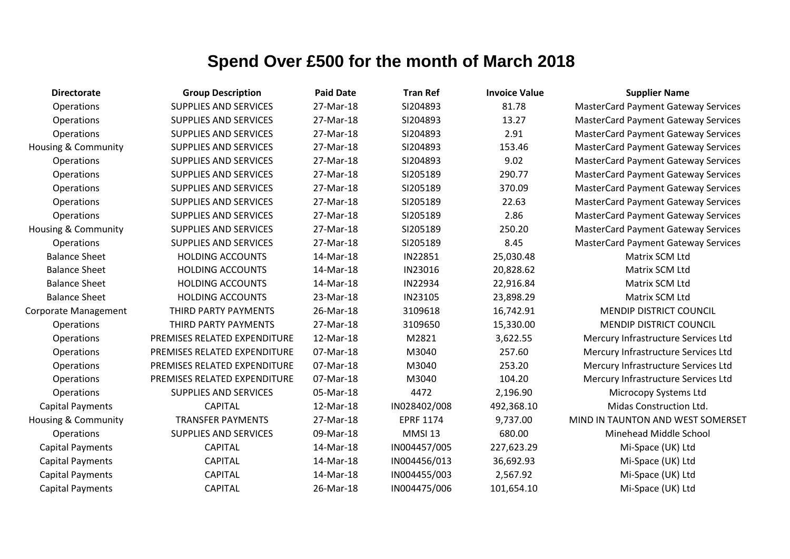| <b>Directorate</b>             | <b>Group Description</b>     | <b>Paid Date</b> | <b>Tran Ref</b>  | <b>Invoice Value</b> | <b>Supplier Name</b>                       |
|--------------------------------|------------------------------|------------------|------------------|----------------------|--------------------------------------------|
| Operations                     | <b>SUPPLIES AND SERVICES</b> | 27-Mar-18        | SI204893         | 81.78                | <b>MasterCard Payment Gateway Services</b> |
| Operations                     | <b>SUPPLIES AND SERVICES</b> | 27-Mar-18        | SI204893         | 13.27                | <b>MasterCard Payment Gateway Services</b> |
| Operations                     | <b>SUPPLIES AND SERVICES</b> | 27-Mar-18        | SI204893         | 2.91                 | <b>MasterCard Payment Gateway Services</b> |
| Housing & Community            | <b>SUPPLIES AND SERVICES</b> | 27-Mar-18        | SI204893         | 153.46               | <b>MasterCard Payment Gateway Services</b> |
| Operations                     | <b>SUPPLIES AND SERVICES</b> | 27-Mar-18        | SI204893         | 9.02                 | <b>MasterCard Payment Gateway Services</b> |
| Operations                     | <b>SUPPLIES AND SERVICES</b> | 27-Mar-18        | SI205189         | 290.77               | <b>MasterCard Payment Gateway Services</b> |
| Operations                     | <b>SUPPLIES AND SERVICES</b> | 27-Mar-18        | SI205189         | 370.09               | <b>MasterCard Payment Gateway Services</b> |
| Operations                     | <b>SUPPLIES AND SERVICES</b> | 27-Mar-18        | SI205189         | 22.63                | <b>MasterCard Payment Gateway Services</b> |
| Operations                     | <b>SUPPLIES AND SERVICES</b> | 27-Mar-18        | SI205189         | 2.86                 | <b>MasterCard Payment Gateway Services</b> |
| Housing & Community            | <b>SUPPLIES AND SERVICES</b> | 27-Mar-18        | SI205189         | 250.20               | <b>MasterCard Payment Gateway Services</b> |
| Operations                     | <b>SUPPLIES AND SERVICES</b> | 27-Mar-18        | SI205189         | 8.45                 | <b>MasterCard Payment Gateway Services</b> |
| <b>Balance Sheet</b>           | <b>HOLDING ACCOUNTS</b>      | 14-Mar-18        | IN22851          | 25,030.48            | Matrix SCM Ltd                             |
| <b>Balance Sheet</b>           | <b>HOLDING ACCOUNTS</b>      | 14-Mar-18        | IN23016          | 20,828.62            | Matrix SCM Ltd                             |
| <b>Balance Sheet</b>           | <b>HOLDING ACCOUNTS</b>      | 14-Mar-18        | IN22934          | 22,916.84            | Matrix SCM Ltd                             |
| <b>Balance Sheet</b>           | <b>HOLDING ACCOUNTS</b>      | 23-Mar-18        | IN23105          | 23,898.29            | Matrix SCM Ltd                             |
| Corporate Management           | THIRD PARTY PAYMENTS         | 26-Mar-18        | 3109618          | 16,742.91            | MENDIP DISTRICT COUNCIL                    |
| Operations                     | THIRD PARTY PAYMENTS         | 27-Mar-18        | 3109650          | 15,330.00            | MENDIP DISTRICT COUNCIL                    |
| Operations                     | PREMISES RELATED EXPENDITURE | 12-Mar-18        | M2821            | 3,622.55             | Mercury Infrastructure Services Ltd        |
| Operations                     | PREMISES RELATED EXPENDITURE | 07-Mar-18        | M3040            | 257.60               | Mercury Infrastructure Services Ltd        |
| Operations                     | PREMISES RELATED EXPENDITURE | 07-Mar-18        | M3040            | 253.20               | Mercury Infrastructure Services Ltd        |
| Operations                     | PREMISES RELATED EXPENDITURE | 07-Mar-18        | M3040            | 104.20               | Mercury Infrastructure Services Ltd        |
| Operations                     | <b>SUPPLIES AND SERVICES</b> | 05-Mar-18        | 4472             | 2,196.90             | Microcopy Systems Ltd                      |
| <b>Capital Payments</b>        | <b>CAPITAL</b>               | 12-Mar-18        | IN028402/008     | 492,368.10           | Midas Construction Ltd.                    |
| <b>Housing &amp; Community</b> | <b>TRANSFER PAYMENTS</b>     | 27-Mar-18        | <b>EPRF 1174</b> | 9,737.00             | MIND IN TAUNTON AND WEST SOMERSET          |
| Operations                     | <b>SUPPLIES AND SERVICES</b> | 09-Mar-18        | MMSI 13          | 680.00               | Minehead Middle School                     |
| <b>Capital Payments</b>        | <b>CAPITAL</b>               | 14-Mar-18        | IN004457/005     | 227,623.29           | Mi-Space (UK) Ltd                          |
| <b>Capital Payments</b>        | <b>CAPITAL</b>               | 14-Mar-18        | IN004456/013     | 36,692.93            | Mi-Space (UK) Ltd                          |
| <b>Capital Payments</b>        | <b>CAPITAL</b>               | 14-Mar-18        | IN004455/003     | 2,567.92             | Mi-Space (UK) Ltd                          |
| <b>Capital Payments</b>        | <b>CAPITAL</b>               | 26-Mar-18        | IN004475/006     | 101,654.10           | Mi-Space (UK) Ltd                          |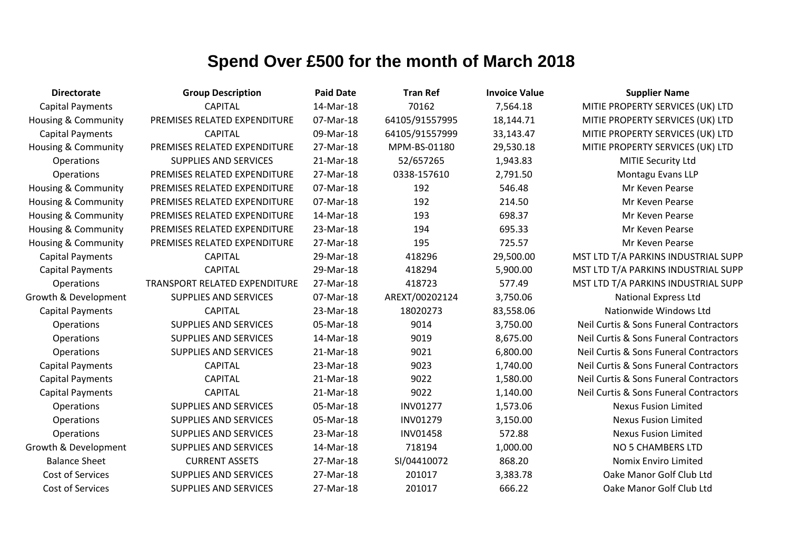| <b>Directorate</b>             | <b>Group Description</b>      | <b>Paid Date</b> | <b>Tran Ref</b> | <b>Invoice Value</b> | <b>Supplier Name</b>                   |
|--------------------------------|-------------------------------|------------------|-----------------|----------------------|----------------------------------------|
| <b>Capital Payments</b>        | <b>CAPITAL</b>                | 14-Mar-18        | 70162           | 7,564.18             | MITIE PROPERTY SERVICES (UK) LTD       |
| <b>Housing &amp; Community</b> | PREMISES RELATED EXPENDITURE  | 07-Mar-18        | 64105/91557995  | 18,144.71            | MITIE PROPERTY SERVICES (UK) LTD       |
| <b>Capital Payments</b>        | <b>CAPITAL</b>                | 09-Mar-18        | 64105/91557999  | 33,143.47            | MITIE PROPERTY SERVICES (UK) LTD       |
| <b>Housing &amp; Community</b> | PREMISES RELATED EXPENDITURE  | 27-Mar-18        | MPM-BS-01180    | 29,530.18            | MITIE PROPERTY SERVICES (UK) LTD       |
| Operations                     | <b>SUPPLIES AND SERVICES</b>  | 21-Mar-18        | 52/657265       | 1,943.83             | MITIE Security Ltd                     |
| Operations                     | PREMISES RELATED EXPENDITURE  | 27-Mar-18        | 0338-157610     | 2,791.50             | Montagu Evans LLP                      |
| <b>Housing &amp; Community</b> | PREMISES RELATED EXPENDITURE  | 07-Mar-18        | 192             | 546.48               | Mr Keven Pearse                        |
| <b>Housing &amp; Community</b> | PREMISES RELATED EXPENDITURE  | 07-Mar-18        | 192             | 214.50               | Mr Keven Pearse                        |
| <b>Housing &amp; Community</b> | PREMISES RELATED EXPENDITURE  | 14-Mar-18        | 193             | 698.37               | Mr Keven Pearse                        |
| <b>Housing &amp; Community</b> | PREMISES RELATED EXPENDITURE  | 23-Mar-18        | 194             | 695.33               | Mr Keven Pearse                        |
| <b>Housing &amp; Community</b> | PREMISES RELATED EXPENDITURE  | 27-Mar-18        | 195             | 725.57               | Mr Keven Pearse                        |
| <b>Capital Payments</b>        | <b>CAPITAL</b>                | 29-Mar-18        | 418296          | 29,500.00            | MST LTD T/A PARKINS INDUSTRIAL SUPP    |
| <b>Capital Payments</b>        | <b>CAPITAL</b>                | 29-Mar-18        | 418294          | 5,900.00             | MST LTD T/A PARKINS INDUSTRIAL SUPP    |
| Operations                     | TRANSPORT RELATED EXPENDITURE | 27-Mar-18        | 418723          | 577.49               | MST LTD T/A PARKINS INDUSTRIAL SUPP    |
| Growth & Development           | SUPPLIES AND SERVICES         | 07-Mar-18        | AREXT/00202124  | 3,750.06             | <b>National Express Ltd</b>            |
| <b>Capital Payments</b>        | <b>CAPITAL</b>                | 23-Mar-18        | 18020273        | 83,558.06            | Nationwide Windows Ltd                 |
| Operations                     | <b>SUPPLIES AND SERVICES</b>  | 05-Mar-18        | 9014            | 3,750.00             | Neil Curtis & Sons Funeral Contractors |
| Operations                     | <b>SUPPLIES AND SERVICES</b>  | 14-Mar-18        | 9019            | 8,675.00             | Neil Curtis & Sons Funeral Contractors |
| Operations                     | <b>SUPPLIES AND SERVICES</b>  | 21-Mar-18        | 9021            | 6,800.00             | Neil Curtis & Sons Funeral Contractors |
| <b>Capital Payments</b>        | <b>CAPITAL</b>                | 23-Mar-18        | 9023            | 1,740.00             | Neil Curtis & Sons Funeral Contractors |
| <b>Capital Payments</b>        | <b>CAPITAL</b>                | 21-Mar-18        | 9022            | 1,580.00             | Neil Curtis & Sons Funeral Contractors |
| <b>Capital Payments</b>        | <b>CAPITAL</b>                | 21-Mar-18        | 9022            | 1,140.00             | Neil Curtis & Sons Funeral Contractors |
| Operations                     | <b>SUPPLIES AND SERVICES</b>  | 05-Mar-18        | <b>INV01277</b> | 1,573.06             | <b>Nexus Fusion Limited</b>            |
| Operations                     | <b>SUPPLIES AND SERVICES</b>  | 05-Mar-18        | <b>INV01279</b> | 3,150.00             | <b>Nexus Fusion Limited</b>            |
| Operations                     | <b>SUPPLIES AND SERVICES</b>  | 23-Mar-18        | <b>INV01458</b> | 572.88               | <b>Nexus Fusion Limited</b>            |
| Growth & Development           | <b>SUPPLIES AND SERVICES</b>  | 14-Mar-18        | 718194          | 1,000.00             | NO 5 CHAMBERS LTD                      |
| <b>Balance Sheet</b>           | <b>CURRENT ASSETS</b>         | 27-Mar-18        | SI/04410072     | 868.20               | Nomix Enviro Limited                   |
| Cost of Services               | <b>SUPPLIES AND SERVICES</b>  | 27-Mar-18        | 201017          | 3,383.78             | Oake Manor Golf Club Ltd               |
| <b>Cost of Services</b>        | <b>SUPPLIES AND SERVICES</b>  | 27-Mar-18        | 201017          | 666.22               | Oake Manor Golf Club Ltd               |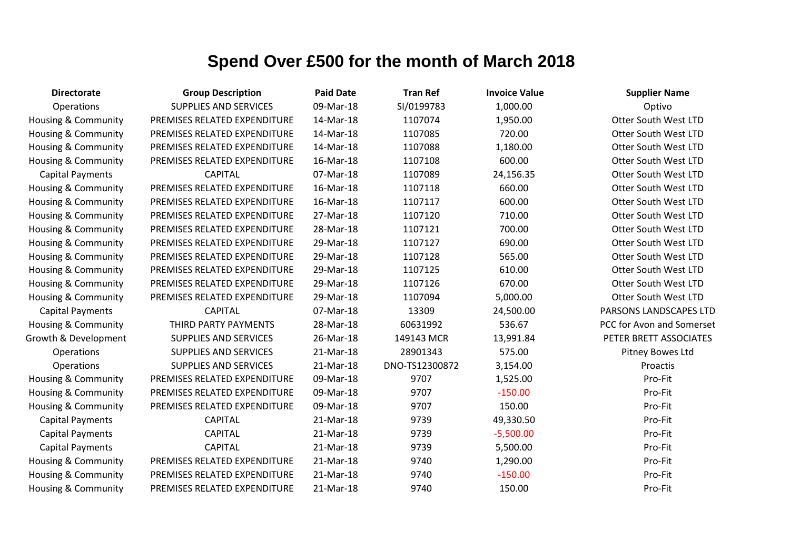| <b>Directorate</b>             | <b>Group Description</b>     | <b>Paid Date</b> | <b>Tran Ref</b> | <b>Invoice Value</b> | <b>Supplier Name</b>        |
|--------------------------------|------------------------------|------------------|-----------------|----------------------|-----------------------------|
| Operations                     | <b>SUPPLIES AND SERVICES</b> | 09-Mar-18        | SI/0199783      | 1,000.00             | Optivo                      |
| Housing & Community            | PREMISES RELATED EXPENDITURE | 14-Mar-18        | 1107074         | 1,950.00             | <b>Otter South West LTD</b> |
| Housing & Community            | PREMISES RELATED EXPENDITURE | 14-Mar-18        | 1107085         | 720.00               | Otter South West LTD        |
| Housing & Community            | PREMISES RELATED EXPENDITURE | 14-Mar-18        | 1107088         | 1,180.00             | Otter South West LTD        |
| <b>Housing &amp; Community</b> | PREMISES RELATED EXPENDITURE | 16-Mar-18        | 1107108         | 600.00               | Otter South West LTD        |
| <b>Capital Payments</b>        | <b>CAPITAL</b>               | 07-Mar-18        | 1107089         | 24,156.35            | <b>Otter South West LTD</b> |
| Housing & Community            | PREMISES RELATED EXPENDITURE | 16-Mar-18        | 1107118         | 660.00               | Otter South West LTD        |
| Housing & Community            | PREMISES RELATED EXPENDITURE | 16-Mar-18        | 1107117         | 600.00               | <b>Otter South West LTD</b> |
| Housing & Community            | PREMISES RELATED EXPENDITURE | 27-Mar-18        | 1107120         | 710.00               | Otter South West LTD        |
| <b>Housing &amp; Community</b> | PREMISES RELATED EXPENDITURE | 28-Mar-18        | 1107121         | 700.00               | Otter South West LTD        |
| Housing & Community            | PREMISES RELATED EXPENDITURE | 29-Mar-18        | 1107127         | 690.00               | Otter South West LTD        |
| Housing & Community            | PREMISES RELATED EXPENDITURE | 29-Mar-18        | 1107128         | 565.00               | Otter South West LTD        |
| Housing & Community            | PREMISES RELATED EXPENDITURE | 29-Mar-18        | 1107125         | 610.00               | <b>Otter South West LTD</b> |
| Housing & Community            | PREMISES RELATED EXPENDITURE | 29-Mar-18        | 1107126         | 670.00               | <b>Otter South West LTD</b> |
| Housing & Community            | PREMISES RELATED EXPENDITURE | 29-Mar-18        | 1107094         | 5,000.00             | <b>Otter South West LTD</b> |
| <b>Capital Payments</b>        | <b>CAPITAL</b>               | 07-Mar-18        | 13309           | 24,500.00            | PARSONS LANDSCAPES LTD      |
| <b>Housing &amp; Community</b> | THIRD PARTY PAYMENTS         | 28-Mar-18        | 60631992        | 536.67               | PCC for Avon and Somerset   |
| Growth & Development           | <b>SUPPLIES AND SERVICES</b> | 26-Mar-18        | 149143 MCR      | 13,991.84            | PETER BRETT ASSOCIATES      |
| Operations                     | <b>SUPPLIES AND SERVICES</b> | 21-Mar-18        | 28901343        | 575.00               | Pitney Bowes Ltd            |
| Operations                     | <b>SUPPLIES AND SERVICES</b> | 21-Mar-18        | DNO-TS12300872  | 3,154.00             | Proactis                    |
| <b>Housing &amp; Community</b> | PREMISES RELATED EXPENDITURE | 09-Mar-18        | 9707            | 1,525.00             | Pro-Fit                     |
| <b>Housing &amp; Community</b> | PREMISES RELATED EXPENDITURE | 09-Mar-18        | 9707            | $-150.00$            | Pro-Fit                     |
| Housing & Community            | PREMISES RELATED EXPENDITURE | 09-Mar-18        | 9707            | 150.00               | Pro-Fit                     |
| <b>Capital Payments</b>        | <b>CAPITAL</b>               | 21-Mar-18        | 9739            | 49,330.50            | Pro-Fit                     |
| <b>Capital Payments</b>        | <b>CAPITAL</b>               | 21-Mar-18        | 9739            | $-5,500.00$          | Pro-Fit                     |
| <b>Capital Payments</b>        | <b>CAPITAL</b>               | 21-Mar-18        | 9739            | 5,500.00             | Pro-Fit                     |
| Housing & Community            | PREMISES RELATED EXPENDITURE | 21-Mar-18        | 9740            | 1,290.00             | Pro-Fit                     |
| <b>Housing &amp; Community</b> | PREMISES RELATED EXPENDITURE | 21-Mar-18        | 9740            | $-150.00$            | Pro-Fit                     |
| <b>Housing &amp; Community</b> | PREMISES RELATED EXPENDITURE | 21-Mar-18        | 9740            | 150.00               | Pro-Fit                     |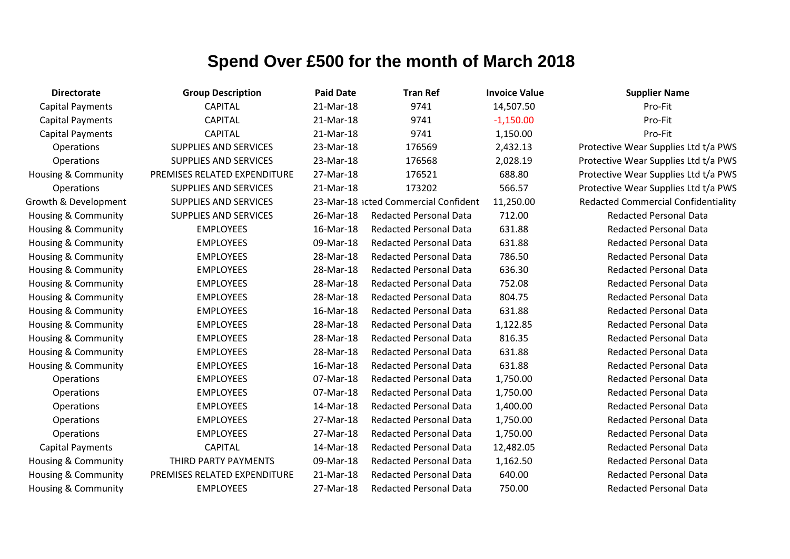| <b>Directorate</b>      | <b>Group Description</b>     | <b>Paid Date</b> | <b>Tran Ref</b>                      | <b>Invoice Value</b> | <b>Supplier Name</b>                       |
|-------------------------|------------------------------|------------------|--------------------------------------|----------------------|--------------------------------------------|
| <b>Capital Payments</b> | <b>CAPITAL</b>               | 21-Mar-18        | 9741                                 | 14,507.50            | Pro-Fit                                    |
| <b>Capital Payments</b> | <b>CAPITAL</b>               | 21-Mar-18        | 9741                                 | $-1,150.00$          | Pro-Fit                                    |
| <b>Capital Payments</b> | <b>CAPITAL</b>               | 21-Mar-18        | 9741                                 | 1,150.00             | Pro-Fit                                    |
| Operations              | <b>SUPPLIES AND SERVICES</b> | 23-Mar-18        | 176569                               | 2,432.13             | Protective Wear Supplies Ltd t/a PWS       |
| Operations              | SUPPLIES AND SERVICES        | 23-Mar-18        | 176568                               | 2,028.19             | Protective Wear Supplies Ltd t/a PWS       |
| Housing & Community     | PREMISES RELATED EXPENDITURE | 27-Mar-18        | 176521                               | 688.80               | Protective Wear Supplies Ltd t/a PWS       |
| Operations              | <b>SUPPLIES AND SERVICES</b> | 21-Mar-18        | 173202                               | 566.57               | Protective Wear Supplies Ltd t/a PWS       |
| Growth & Development    | SUPPLIES AND SERVICES        |                  | 23-Mar-18 icted Commercial Confident | 11,250.00            | <b>Redacted Commercial Confidentiality</b> |
| Housing & Community     | <b>SUPPLIES AND SERVICES</b> | 26-Mar-18        | <b>Redacted Personal Data</b>        | 712.00               | <b>Redacted Personal Data</b>              |
| Housing & Community     | <b>EMPLOYEES</b>             | 16-Mar-18        | <b>Redacted Personal Data</b>        | 631.88               | <b>Redacted Personal Data</b>              |
| Housing & Community     | <b>EMPLOYEES</b>             | 09-Mar-18        | <b>Redacted Personal Data</b>        | 631.88               | <b>Redacted Personal Data</b>              |
| Housing & Community     | <b>EMPLOYEES</b>             | 28-Mar-18        | <b>Redacted Personal Data</b>        | 786.50               | <b>Redacted Personal Data</b>              |
| Housing & Community     | <b>EMPLOYEES</b>             | 28-Mar-18        | <b>Redacted Personal Data</b>        | 636.30               | <b>Redacted Personal Data</b>              |
| Housing & Community     | <b>EMPLOYEES</b>             | 28-Mar-18        | <b>Redacted Personal Data</b>        | 752.08               | <b>Redacted Personal Data</b>              |
| Housing & Community     | <b>EMPLOYEES</b>             | 28-Mar-18        | <b>Redacted Personal Data</b>        | 804.75               | <b>Redacted Personal Data</b>              |
| Housing & Community     | <b>EMPLOYEES</b>             | 16-Mar-18        | <b>Redacted Personal Data</b>        | 631.88               | <b>Redacted Personal Data</b>              |
| Housing & Community     | <b>EMPLOYEES</b>             | 28-Mar-18        | <b>Redacted Personal Data</b>        | 1,122.85             | <b>Redacted Personal Data</b>              |
| Housing & Community     | <b>EMPLOYEES</b>             | 28-Mar-18        | <b>Redacted Personal Data</b>        | 816.35               | <b>Redacted Personal Data</b>              |
| Housing & Community     | <b>EMPLOYEES</b>             | 28-Mar-18        | <b>Redacted Personal Data</b>        | 631.88               | <b>Redacted Personal Data</b>              |
| Housing & Community     | <b>EMPLOYEES</b>             | 16-Mar-18        | <b>Redacted Personal Data</b>        | 631.88               | <b>Redacted Personal Data</b>              |
| Operations              | <b>EMPLOYEES</b>             | 07-Mar-18        | <b>Redacted Personal Data</b>        | 1,750.00             | <b>Redacted Personal Data</b>              |
| Operations              | <b>EMPLOYEES</b>             | 07-Mar-18        | <b>Redacted Personal Data</b>        | 1,750.00             | <b>Redacted Personal Data</b>              |
| Operations              | <b>EMPLOYEES</b>             | 14-Mar-18        | <b>Redacted Personal Data</b>        | 1,400.00             | <b>Redacted Personal Data</b>              |
| Operations              | <b>EMPLOYEES</b>             | 27-Mar-18        | <b>Redacted Personal Data</b>        | 1,750.00             | <b>Redacted Personal Data</b>              |
| Operations              | <b>EMPLOYEES</b>             | 27-Mar-18        | <b>Redacted Personal Data</b>        | 1,750.00             | <b>Redacted Personal Data</b>              |
| <b>Capital Payments</b> | <b>CAPITAL</b>               | 14-Mar-18        | <b>Redacted Personal Data</b>        | 12,482.05            | <b>Redacted Personal Data</b>              |
| Housing & Community     | THIRD PARTY PAYMENTS         | 09-Mar-18        | <b>Redacted Personal Data</b>        | 1,162.50             | <b>Redacted Personal Data</b>              |
| Housing & Community     | PREMISES RELATED EXPENDITURE | 21-Mar-18        | <b>Redacted Personal Data</b>        | 640.00               | <b>Redacted Personal Data</b>              |
| Housing & Community     | <b>EMPLOYEES</b>             | 27-Mar-18        | <b>Redacted Personal Data</b>        | 750.00               | <b>Redacted Personal Data</b>              |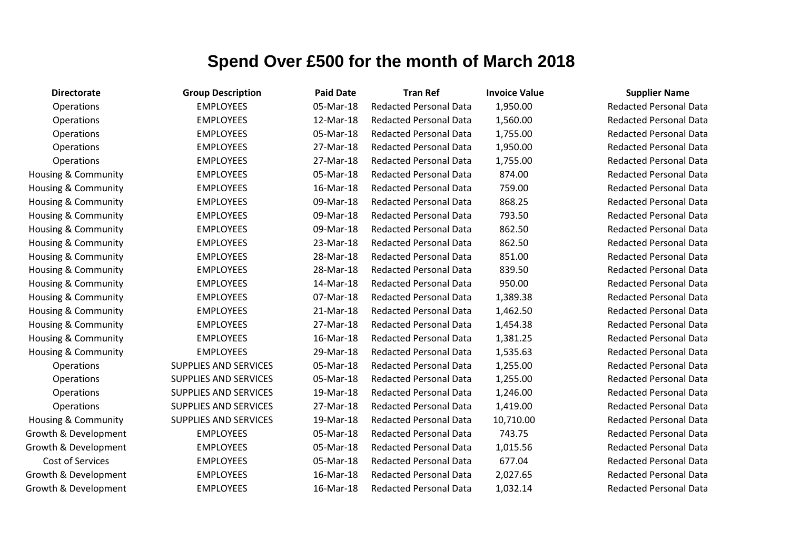| <b>Directorate</b>             | <b>Group Description</b>     | <b>Paid Date</b> | <b>Tran Ref</b>               | <b>Invoice Value</b> | <b>Supplier Name</b>     |
|--------------------------------|------------------------------|------------------|-------------------------------|----------------------|--------------------------|
| Operations                     | <b>EMPLOYEES</b>             | 05-Mar-18        | <b>Redacted Personal Data</b> | 1,950.00             | <b>Redacted Personal</b> |
| Operations                     | <b>EMPLOYEES</b>             | 12-Mar-18        | <b>Redacted Personal Data</b> | 1,560.00             | <b>Redacted Personal</b> |
| Operations                     | <b>EMPLOYEES</b>             | 05-Mar-18        | <b>Redacted Personal Data</b> | 1,755.00             | Redacted Personal        |
| Operations                     | <b>EMPLOYEES</b>             | 27-Mar-18        | <b>Redacted Personal Data</b> | 1,950.00             | <b>Redacted Personal</b> |
| Operations                     | <b>EMPLOYEES</b>             | 27-Mar-18        | <b>Redacted Personal Data</b> | 1,755.00             | <b>Redacted Personal</b> |
| Housing & Community            | <b>EMPLOYEES</b>             | 05-Mar-18        | <b>Redacted Personal Data</b> | 874.00               | Redacted Personal        |
| Housing & Community            | <b>EMPLOYEES</b>             | 16-Mar-18        | <b>Redacted Personal Data</b> | 759.00               | <b>Redacted Personal</b> |
| Housing & Community            | <b>EMPLOYEES</b>             | 09-Mar-18        | <b>Redacted Personal Data</b> | 868.25               | <b>Redacted Personal</b> |
| <b>Housing &amp; Community</b> | <b>EMPLOYEES</b>             | 09-Mar-18        | <b>Redacted Personal Data</b> | 793.50               | <b>Redacted Personal</b> |
| Housing & Community            | <b>EMPLOYEES</b>             | 09-Mar-18        | <b>Redacted Personal Data</b> | 862.50               | <b>Redacted Personal</b> |
| Housing & Community            | <b>EMPLOYEES</b>             | 23-Mar-18        | <b>Redacted Personal Data</b> | 862.50               | <b>Redacted Personal</b> |
| <b>Housing &amp; Community</b> | <b>EMPLOYEES</b>             | 28-Mar-18        | <b>Redacted Personal Data</b> | 851.00               | <b>Redacted Personal</b> |
| Housing & Community            | <b>EMPLOYEES</b>             | 28-Mar-18        | <b>Redacted Personal Data</b> | 839.50               | <b>Redacted Personal</b> |
| Housing & Community            | <b>EMPLOYEES</b>             | 14-Mar-18        | <b>Redacted Personal Data</b> | 950.00               | <b>Redacted Personal</b> |
| Housing & Community            | <b>EMPLOYEES</b>             | 07-Mar-18        | <b>Redacted Personal Data</b> | 1,389.38             | Redacted Personal        |
| Housing & Community            | <b>EMPLOYEES</b>             | 21-Mar-18        | <b>Redacted Personal Data</b> | 1,462.50             | <b>Redacted Personal</b> |
| Housing & Community            | <b>EMPLOYEES</b>             | 27-Mar-18        | <b>Redacted Personal Data</b> | 1,454.38             | <b>Redacted Personal</b> |
| <b>Housing &amp; Community</b> | <b>EMPLOYEES</b>             | 16-Mar-18        | <b>Redacted Personal Data</b> | 1,381.25             | <b>Redacted Personal</b> |
| Housing & Community            | <b>EMPLOYEES</b>             | 29-Mar-18        | <b>Redacted Personal Data</b> | 1,535.63             | <b>Redacted Personal</b> |
| Operations                     | <b>SUPPLIES AND SERVICES</b> | 05-Mar-18        | <b>Redacted Personal Data</b> | 1,255.00             | <b>Redacted Personal</b> |
| Operations                     | <b>SUPPLIES AND SERVICES</b> | 05-Mar-18        | <b>Redacted Personal Data</b> | 1,255.00             | <b>Redacted Personal</b> |
| Operations                     | <b>SUPPLIES AND SERVICES</b> | 19-Mar-18        | <b>Redacted Personal Data</b> | 1,246.00             | <b>Redacted Personal</b> |
| Operations                     | <b>SUPPLIES AND SERVICES</b> | 27-Mar-18        | <b>Redacted Personal Data</b> | 1,419.00             | <b>Redacted Personal</b> |
| Housing & Community            | <b>SUPPLIES AND SERVICES</b> | 19-Mar-18        | <b>Redacted Personal Data</b> | 10,710.00            | <b>Redacted Personal</b> |
| Growth & Development           | <b>EMPLOYEES</b>             | 05-Mar-18        | <b>Redacted Personal Data</b> | 743.75               | <b>Redacted Personal</b> |
| Growth & Development           | <b>EMPLOYEES</b>             | 05-Mar-18        | <b>Redacted Personal Data</b> | 1,015.56             | <b>Redacted Personal</b> |
| Cost of Services               | <b>EMPLOYEES</b>             | 05-Mar-18        | <b>Redacted Personal Data</b> | 677.04               | Redacted Personal        |
| Growth & Development           | <b>EMPLOYEES</b>             | 16-Mar-18        | <b>Redacted Personal Data</b> | 2,027.65             | <b>Redacted Personal</b> |
| Growth & Development           | <b>EMPLOYEES</b>             | 16-Mar-18        | <b>Redacted Personal Data</b> | 1,032.14             | <b>Redacted Personal</b> |

Redacted Personal Data **Redacted Personal Data Redacted Personal Data Redacted Personal Data** Redacted Personal Data Redacted Personal Data Redacted Personal Data Redacted Personal Data Redacted Personal Data Redacted Personal Data Redacted Personal Data Redacted Personal Data Redacted Personal Data Redacted Personal Data Redacted Personal Data Redacted Personal Data Redacted Personal Data Redacted Personal Data Redacted Personal Data **Redacted Personal Data Redacted Personal Data Redacted Personal Data** Redacted Personal Data Redacted Personal Data **Redacted Personal Data** Redacted Personal Data **Redacted Personal Data Redacted Personal Data Redacted Personal Data**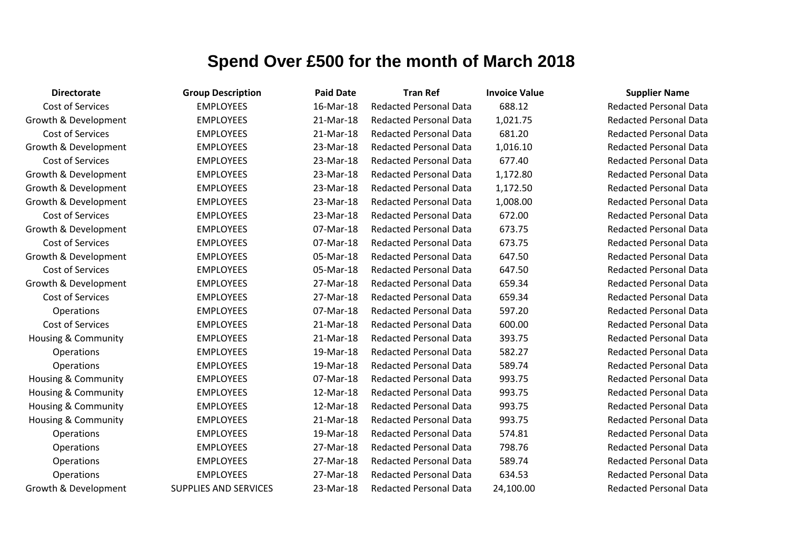| <b>Directorate</b>             | <b>Group Description</b>     | <b>Paid Date</b> | <b>Tran Ref</b>               | <b>Invoice Value</b> | <b>Supplier Name</b>     |
|--------------------------------|------------------------------|------------------|-------------------------------|----------------------|--------------------------|
| Cost of Services               | <b>EMPLOYEES</b>             | 16-Mar-18        | <b>Redacted Personal Data</b> | 688.12               | <b>Redacted Personal</b> |
| Growth & Development           | <b>EMPLOYEES</b>             | 21-Mar-18        | <b>Redacted Personal Data</b> | 1,021.75             | <b>Redacted Personal</b> |
| Cost of Services               | <b>EMPLOYEES</b>             | 21-Mar-18        | <b>Redacted Personal Data</b> | 681.20               | <b>Redacted Personal</b> |
| Growth & Development           | <b>EMPLOYEES</b>             | 23-Mar-18        | <b>Redacted Personal Data</b> | 1,016.10             | <b>Redacted Personal</b> |
| <b>Cost of Services</b>        | <b>EMPLOYEES</b>             | 23-Mar-18        | <b>Redacted Personal Data</b> | 677.40               | <b>Redacted Personal</b> |
| Growth & Development           | <b>EMPLOYEES</b>             | 23-Mar-18        | <b>Redacted Personal Data</b> | 1,172.80             | <b>Redacted Personal</b> |
| Growth & Development           | <b>EMPLOYEES</b>             | 23-Mar-18        | <b>Redacted Personal Data</b> | 1,172.50             | <b>Redacted Personal</b> |
| Growth & Development           | <b>EMPLOYEES</b>             | 23-Mar-18        | <b>Redacted Personal Data</b> | 1,008.00             | <b>Redacted Personal</b> |
| Cost of Services               | <b>EMPLOYEES</b>             | 23-Mar-18        | <b>Redacted Personal Data</b> | 672.00               | <b>Redacted Personal</b> |
| Growth & Development           | <b>EMPLOYEES</b>             | 07-Mar-18        | <b>Redacted Personal Data</b> | 673.75               | <b>Redacted Personal</b> |
| Cost of Services               | <b>EMPLOYEES</b>             | 07-Mar-18        | <b>Redacted Personal Data</b> | 673.75               | <b>Redacted Personal</b> |
| Growth & Development           | <b>EMPLOYEES</b>             | 05-Mar-18        | <b>Redacted Personal Data</b> | 647.50               | <b>Redacted Personal</b> |
| Cost of Services               | <b>EMPLOYEES</b>             | 05-Mar-18        | <b>Redacted Personal Data</b> | 647.50               | <b>Redacted Personal</b> |
| Growth & Development           | <b>EMPLOYEES</b>             | 27-Mar-18        | <b>Redacted Personal Data</b> | 659.34               | <b>Redacted Personal</b> |
| Cost of Services               | <b>EMPLOYEES</b>             | 27-Mar-18        | <b>Redacted Personal Data</b> | 659.34               | <b>Redacted Personal</b> |
| Operations                     | <b>EMPLOYEES</b>             | 07-Mar-18        | <b>Redacted Personal Data</b> | 597.20               | <b>Redacted Personal</b> |
| Cost of Services               | <b>EMPLOYEES</b>             | 21-Mar-18        | <b>Redacted Personal Data</b> | 600.00               | <b>Redacted Personal</b> |
| <b>Housing &amp; Community</b> | <b>EMPLOYEES</b>             | 21-Mar-18        | <b>Redacted Personal Data</b> | 393.75               | <b>Redacted Personal</b> |
| Operations                     | <b>EMPLOYEES</b>             | 19-Mar-18        | <b>Redacted Personal Data</b> | 582.27               | <b>Redacted Personal</b> |
| Operations                     | <b>EMPLOYEES</b>             | 19-Mar-18        | <b>Redacted Personal Data</b> | 589.74               | <b>Redacted Personal</b> |
| Housing & Community            | <b>EMPLOYEES</b>             | 07-Mar-18        | <b>Redacted Personal Data</b> | 993.75               | <b>Redacted Personal</b> |
| <b>Housing &amp; Community</b> | <b>EMPLOYEES</b>             | 12-Mar-18        | <b>Redacted Personal Data</b> | 993.75               | <b>Redacted Personal</b> |
| Housing & Community            | <b>EMPLOYEES</b>             | 12-Mar-18        | <b>Redacted Personal Data</b> | 993.75               | <b>Redacted Personal</b> |
| Housing & Community            | <b>EMPLOYEES</b>             | 21-Mar-18        | <b>Redacted Personal Data</b> | 993.75               | <b>Redacted Personal</b> |
| Operations                     | <b>EMPLOYEES</b>             | 19-Mar-18        | <b>Redacted Personal Data</b> | 574.81               | <b>Redacted Personal</b> |
| Operations                     | <b>EMPLOYEES</b>             | 27-Mar-18        | <b>Redacted Personal Data</b> | 798.76               | <b>Redacted Personal</b> |
| Operations                     | <b>EMPLOYEES</b>             | 27-Mar-18        | <b>Redacted Personal Data</b> | 589.74               | <b>Redacted Personal</b> |
| Operations                     | <b>EMPLOYEES</b>             | 27-Mar-18        | <b>Redacted Personal Data</b> | 634.53               | <b>Redacted Personal</b> |
| Growth & Development           | <b>SUPPLIES AND SERVICES</b> | 23-Mar-18        | <b>Redacted Personal Data</b> | 24,100.00            | Redacted Personal        |

Redacted Personal Data **Redacted Personal Data Redacted Personal Data Redacted Personal Data** Redacted Personal Data **Redacted Personal Data Redacted Personal Data Redacted Personal Data** Redacted Personal Data **Bedacted Personal Data Redacted Personal Data Redacted Personal Data** Redacted Personal Data **Redacted Personal Data** Redacted Personal Data Redacted Personal Data **Redacted Personal Data** Redacted Personal Data **Redacted Personal Data Redacted Personal Data** Redacted Personal Data Redacted Personal Data Redacted Personal Data Redacted Personal Data **Redacted Personal Data** Redacted Personal Data **Redacted Personal Data Redacted Personal Data Redacted Personal Data**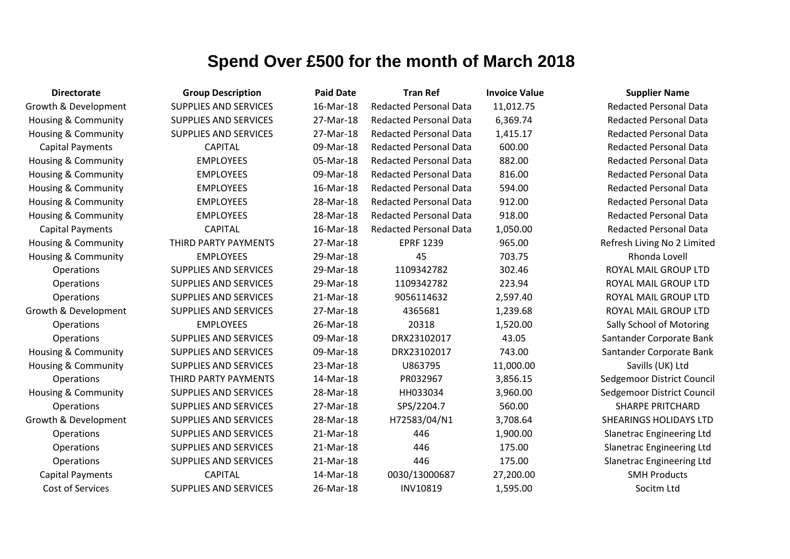| <b>Directorate</b>             | <b>Group Description</b>     | <b>Paid Date</b> | <b>Tran Ref</b>               | <b>Invoice Value</b> | <b>Supplier Name</b>             |
|--------------------------------|------------------------------|------------------|-------------------------------|----------------------|----------------------------------|
| Growth & Development           | <b>SUPPLIES AND SERVICES</b> | 16-Mar-18        | <b>Redacted Personal Data</b> | 11,012.75            | <b>Redacted Personal Data</b>    |
| Housing & Community            | <b>SUPPLIES AND SERVICES</b> | 27-Mar-18        | Redacted Personal Data        | 6,369.74             | <b>Redacted Personal Data</b>    |
| Housing & Community            | <b>SUPPLIES AND SERVICES</b> | 27-Mar-18        | <b>Redacted Personal Data</b> | 1,415.17             | <b>Redacted Personal Data</b>    |
| <b>Capital Payments</b>        | <b>CAPITAL</b>               | 09-Mar-18        | <b>Redacted Personal Data</b> | 600.00               | <b>Redacted Personal Data</b>    |
| Housing & Community            | <b>EMPLOYEES</b>             | 05-Mar-18        | <b>Redacted Personal Data</b> | 882.00               | <b>Redacted Personal Data</b>    |
| Housing & Community            | <b>EMPLOYEES</b>             | 09-Mar-18        | <b>Redacted Personal Data</b> | 816.00               | <b>Redacted Personal Data</b>    |
| Housing & Community            | <b>EMPLOYEES</b>             | 16-Mar-18        | <b>Redacted Personal Data</b> | 594.00               | <b>Redacted Personal Data</b>    |
| <b>Housing &amp; Community</b> | <b>EMPLOYEES</b>             | 28-Mar-18        | <b>Redacted Personal Data</b> | 912.00               | <b>Redacted Personal Data</b>    |
| <b>Housing &amp; Community</b> | <b>EMPLOYEES</b>             | 28-Mar-18        | <b>Redacted Personal Data</b> | 918.00               | <b>Redacted Personal Data</b>    |
| <b>Capital Payments</b>        | <b>CAPITAL</b>               | 16-Mar-18        | <b>Redacted Personal Data</b> | 1,050.00             | <b>Redacted Personal Data</b>    |
| Housing & Community            | THIRD PARTY PAYMENTS         | 27-Mar-18        | <b>EPRF 1239</b>              | 965.00               | Refresh Living No 2 Limited      |
| <b>Housing &amp; Community</b> | <b>EMPLOYEES</b>             | 29-Mar-18        | 45                            | 703.75               | Rhonda Lovell                    |
| Operations                     | <b>SUPPLIES AND SERVICES</b> | 29-Mar-18        | 1109342782                    | 302.46               | ROYAL MAIL GROUP LTD             |
| Operations                     | <b>SUPPLIES AND SERVICES</b> | 29-Mar-18        | 1109342782                    | 223.94               | ROYAL MAIL GROUP LTD             |
| Operations                     | <b>SUPPLIES AND SERVICES</b> | 21-Mar-18        | 9056114632                    | 2,597.40             | ROYAL MAIL GROUP LTD             |
| Growth & Development           | <b>SUPPLIES AND SERVICES</b> | 27-Mar-18        | 4365681                       | 1,239.68             | ROYAL MAIL GROUP LTD             |
| Operations                     | <b>EMPLOYEES</b>             | 26-Mar-18        | 20318                         | 1,520.00             | Sally School of Motoring         |
| Operations                     | <b>SUPPLIES AND SERVICES</b> | 09-Mar-18        | DRX23102017                   | 43.05                | Santander Corporate Bank         |
| <b>Housing &amp; Community</b> | <b>SUPPLIES AND SERVICES</b> | 09-Mar-18        | DRX23102017                   | 743.00               | Santander Corporate Bank         |
| Housing & Community            | <b>SUPPLIES AND SERVICES</b> | 23-Mar-18        | U863795                       | 11,000.00            | Savills (UK) Ltd                 |
| Operations                     | THIRD PARTY PAYMENTS         | 14-Mar-18        | PR032967                      | 3,856.15             | Sedgemoor District Council       |
| <b>Housing &amp; Community</b> | <b>SUPPLIES AND SERVICES</b> | 28-Mar-18        | HH033034                      | 3,960.00             | Sedgemoor District Council       |
| Operations                     | <b>SUPPLIES AND SERVICES</b> | 27-Mar-18        | SPS/2204.7                    | 560.00               | <b>SHARPE PRITCHARD</b>          |
| Growth & Development           | <b>SUPPLIES AND SERVICES</b> | 28-Mar-18        | H72583/04/N1                  | 3,708.64             | <b>SHEARINGS HOLIDAYS LTD</b>    |
| Operations                     | <b>SUPPLIES AND SERVICES</b> | 21-Mar-18        | 446                           | 1,900.00             | Slanetrac Engineering Ltd        |
| Operations                     | <b>SUPPLIES AND SERVICES</b> | 21-Mar-18        | 446                           | 175.00               | <b>Slanetrac Engineering Ltd</b> |
| Operations                     | <b>SUPPLIES AND SERVICES</b> | 21-Mar-18        | 446                           | 175.00               | <b>Slanetrac Engineering Ltd</b> |
| <b>Capital Payments</b>        | <b>CAPITAL</b>               | 14-Mar-18        | 0030/13000687                 | 27,200.00            | <b>SMH Products</b>              |
| Cost of Services               | <b>SUPPLIES AND SERVICES</b> | 26-Mar-18        | <b>INV10819</b>               | 1,595.00             | Socitm Ltd                       |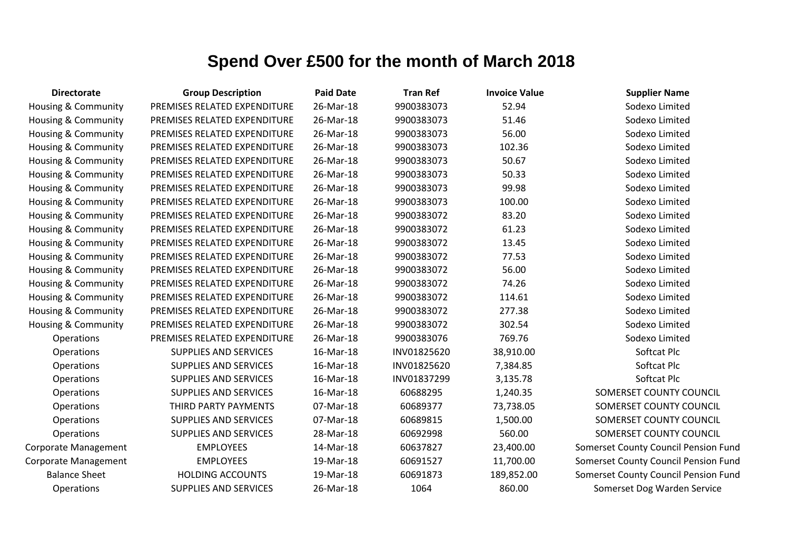| <b>Directorate</b>             | <b>Group Description</b>     | <b>Paid Date</b> | <b>Tran Ref</b> | <b>Invoice Value</b> | <b>Supplier Name</b>                 |
|--------------------------------|------------------------------|------------------|-----------------|----------------------|--------------------------------------|
| Housing & Community            | PREMISES RELATED EXPENDITURE | 26-Mar-18        | 9900383073      | 52.94                | Sodexo Limited                       |
| Housing & Community            | PREMISES RELATED EXPENDITURE | 26-Mar-18        | 9900383073      | 51.46                | Sodexo Limited                       |
| Housing & Community            | PREMISES RELATED EXPENDITURE | 26-Mar-18        | 9900383073      | 56.00                | Sodexo Limited                       |
| Housing & Community            | PREMISES RELATED EXPENDITURE | 26-Mar-18        | 9900383073      | 102.36               | Sodexo Limited                       |
| <b>Housing &amp; Community</b> | PREMISES RELATED EXPENDITURE | 26-Mar-18        | 9900383073      | 50.67                | Sodexo Limited                       |
| <b>Housing &amp; Community</b> | PREMISES RELATED EXPENDITURE | 26-Mar-18        | 9900383073      | 50.33                | Sodexo Limited                       |
| Housing & Community            | PREMISES RELATED EXPENDITURE | 26-Mar-18        | 9900383073      | 99.98                | Sodexo Limited                       |
| Housing & Community            | PREMISES RELATED EXPENDITURE | 26-Mar-18        | 9900383073      | 100.00               | Sodexo Limited                       |
| Housing & Community            | PREMISES RELATED EXPENDITURE | 26-Mar-18        | 9900383072      | 83.20                | Sodexo Limited                       |
| <b>Housing &amp; Community</b> | PREMISES RELATED EXPENDITURE | 26-Mar-18        | 9900383072      | 61.23                | Sodexo Limited                       |
| Housing & Community            | PREMISES RELATED EXPENDITURE | 26-Mar-18        | 9900383072      | 13.45                | Sodexo Limited                       |
| <b>Housing &amp; Community</b> | PREMISES RELATED EXPENDITURE | 26-Mar-18        | 9900383072      | 77.53                | Sodexo Limited                       |
| Housing & Community            | PREMISES RELATED EXPENDITURE | 26-Mar-18        | 9900383072      | 56.00                | Sodexo Limited                       |
| <b>Housing &amp; Community</b> | PREMISES RELATED EXPENDITURE | 26-Mar-18        | 9900383072      | 74.26                | Sodexo Limited                       |
| Housing & Community            | PREMISES RELATED EXPENDITURE | 26-Mar-18        | 9900383072      | 114.61               | Sodexo Limited                       |
| <b>Housing &amp; Community</b> | PREMISES RELATED EXPENDITURE | 26-Mar-18        | 9900383072      | 277.38               | Sodexo Limited                       |
| <b>Housing &amp; Community</b> | PREMISES RELATED EXPENDITURE | 26-Mar-18        | 9900383072      | 302.54               | Sodexo Limited                       |
| Operations                     | PREMISES RELATED EXPENDITURE | 26-Mar-18        | 9900383076      | 769.76               | Sodexo Limited                       |
| Operations                     | <b>SUPPLIES AND SERVICES</b> | 16-Mar-18        | INV01825620     | 38,910.00            | Softcat Plc                          |
| Operations                     | <b>SUPPLIES AND SERVICES</b> | 16-Mar-18        | INV01825620     | 7,384.85             | Softcat Plc                          |
| Operations                     | <b>SUPPLIES AND SERVICES</b> | 16-Mar-18        | INV01837299     | 3,135.78             | Softcat Plc                          |
| Operations                     | <b>SUPPLIES AND SERVICES</b> | 16-Mar-18        | 60688295        | 1,240.35             | SOMERSET COUNTY COUNCIL              |
| Operations                     | THIRD PARTY PAYMENTS         | 07-Mar-18        | 60689377        | 73,738.05            | SOMERSET COUNTY COUNCIL              |
| Operations                     | <b>SUPPLIES AND SERVICES</b> | 07-Mar-18        | 60689815        | 1,500.00             | SOMERSET COUNTY COUNCIL              |
| Operations                     | SUPPLIES AND SERVICES        | 28-Mar-18        | 60692998        | 560.00               | SOMERSET COUNTY COUNCIL              |
| Corporate Management           | <b>EMPLOYEES</b>             | 14-Mar-18        | 60637827        | 23,400.00            | Somerset County Council Pension Fund |
| Corporate Management           | <b>EMPLOYEES</b>             | 19-Mar-18        | 60691527        | 11,700.00            | Somerset County Council Pension Fund |
| <b>Balance Sheet</b>           | <b>HOLDING ACCOUNTS</b>      | 19-Mar-18        | 60691873        | 189,852.00           | Somerset County Council Pension Fund |
| Operations                     | <b>SUPPLIES AND SERVICES</b> | 26-Mar-18        | 1064            | 860.00               | Somerset Dog Warden Service          |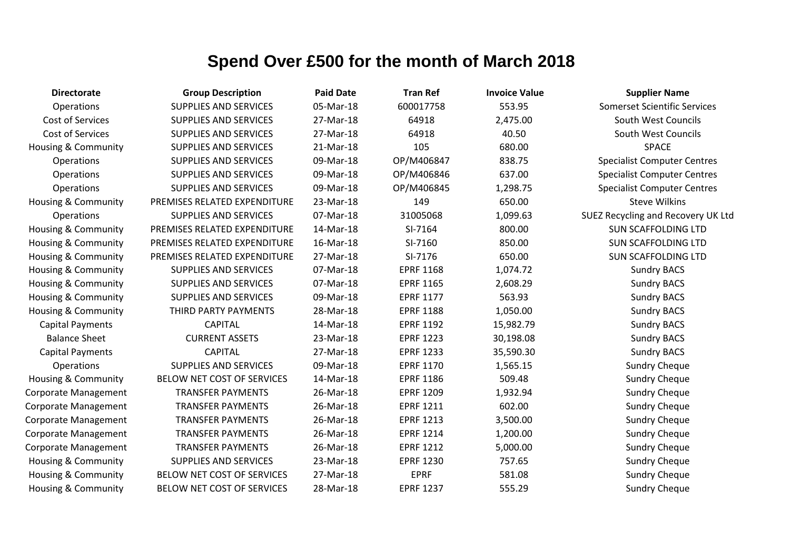| <b>Directorate</b>             | <b>Group Description</b>     | <b>Paid Date</b> | <b>Tran Ref</b>  | <b>Invoice Value</b> | <b>Supplier Name</b>                |
|--------------------------------|------------------------------|------------------|------------------|----------------------|-------------------------------------|
| Operations                     | <b>SUPPLIES AND SERVICES</b> | 05-Mar-18        | 600017758        | 553.95               | <b>Somerset Scientific Services</b> |
| Cost of Services               | SUPPLIES AND SERVICES        | 27-Mar-18        | 64918            | 2,475.00             | South West Councils                 |
| Cost of Services               | <b>SUPPLIES AND SERVICES</b> | 27-Mar-18        | 64918            | 40.50                | South West Councils                 |
| <b>Housing &amp; Community</b> | <b>SUPPLIES AND SERVICES</b> | 21-Mar-18        | 105              | 680.00               | <b>SPACE</b>                        |
| Operations                     | <b>SUPPLIES AND SERVICES</b> | 09-Mar-18        | OP/M406847       | 838.75               | <b>Specialist Computer Centres</b>  |
| Operations                     | <b>SUPPLIES AND SERVICES</b> | 09-Mar-18        | OP/M406846       | 637.00               | <b>Specialist Computer Centres</b>  |
| Operations                     | <b>SUPPLIES AND SERVICES</b> | 09-Mar-18        | OP/M406845       | 1,298.75             | <b>Specialist Computer Centres</b>  |
| Housing & Community            | PREMISES RELATED EXPENDITURE | 23-Mar-18        | 149              | 650.00               | <b>Steve Wilkins</b>                |
| Operations                     | <b>SUPPLIES AND SERVICES</b> | 07-Mar-18        | 31005068         | 1,099.63             | SUEZ Recycling and Recovery UK Ltd  |
| Housing & Community            | PREMISES RELATED EXPENDITURE | 14-Mar-18        | SI-7164          | 800.00               | <b>SUN SCAFFOLDING LTD</b>          |
| Housing & Community            | PREMISES RELATED EXPENDITURE | 16-Mar-18        | SI-7160          | 850.00               | <b>SUN SCAFFOLDING LTD</b>          |
| <b>Housing &amp; Community</b> | PREMISES RELATED EXPENDITURE | 27-Mar-18        | SI-7176          | 650.00               | <b>SUN SCAFFOLDING LTD</b>          |
| Housing & Community            | <b>SUPPLIES AND SERVICES</b> | 07-Mar-18        | <b>EPRF 1168</b> | 1,074.72             | <b>Sundry BACS</b>                  |
| Housing & Community            | SUPPLIES AND SERVICES        | 07-Mar-18        | <b>EPRF 1165</b> | 2,608.29             | <b>Sundry BACS</b>                  |
| Housing & Community            | <b>SUPPLIES AND SERVICES</b> | 09-Mar-18        | <b>EPRF 1177</b> | 563.93               | <b>Sundry BACS</b>                  |
| Housing & Community            | THIRD PARTY PAYMENTS         | 28-Mar-18        | <b>EPRF 1188</b> | 1,050.00             | <b>Sundry BACS</b>                  |
| <b>Capital Payments</b>        | <b>CAPITAL</b>               | 14-Mar-18        | <b>EPRF 1192</b> | 15,982.79            | <b>Sundry BACS</b>                  |
| <b>Balance Sheet</b>           | <b>CURRENT ASSETS</b>        | 23-Mar-18        | <b>EPRF 1223</b> | 30,198.08            | <b>Sundry BACS</b>                  |
| <b>Capital Payments</b>        | <b>CAPITAL</b>               | 27-Mar-18        | <b>EPRF 1233</b> | 35,590.30            | <b>Sundry BACS</b>                  |
| <b>Operations</b>              | <b>SUPPLIES AND SERVICES</b> | 09-Mar-18        | <b>EPRF 1170</b> | 1,565.15             | <b>Sundry Cheque</b>                |
| <b>Housing &amp; Community</b> | BELOW NET COST OF SERVICES   | 14-Mar-18        | <b>EPRF 1186</b> | 509.48               | <b>Sundry Cheque</b>                |
| Corporate Management           | <b>TRANSFER PAYMENTS</b>     | 26-Mar-18        | <b>EPRF 1209</b> | 1,932.94             | <b>Sundry Cheque</b>                |
| Corporate Management           | <b>TRANSFER PAYMENTS</b>     | 26-Mar-18        | <b>EPRF 1211</b> | 602.00               | <b>Sundry Cheque</b>                |
| Corporate Management           | <b>TRANSFER PAYMENTS</b>     | 26-Mar-18        | <b>EPRF 1213</b> | 3,500.00             | <b>Sundry Cheque</b>                |
| Corporate Management           | <b>TRANSFER PAYMENTS</b>     | 26-Mar-18        | <b>EPRF 1214</b> | 1,200.00             | <b>Sundry Cheque</b>                |
| Corporate Management           | <b>TRANSFER PAYMENTS</b>     | 26-Mar-18        | <b>EPRF 1212</b> | 5,000.00             | <b>Sundry Cheque</b>                |
| <b>Housing &amp; Community</b> | <b>SUPPLIES AND SERVICES</b> | 23-Mar-18        | <b>EPRF 1230</b> | 757.65               | <b>Sundry Cheque</b>                |
| <b>Housing &amp; Community</b> | BELOW NET COST OF SERVICES   | 27-Mar-18        | <b>EPRF</b>      | 581.08               | <b>Sundry Cheque</b>                |
| Housing & Community            | BELOW NET COST OF SERVICES   | 28-Mar-18        | <b>EPRF 1237</b> | 555.29               | <b>Sundry Cheque</b>                |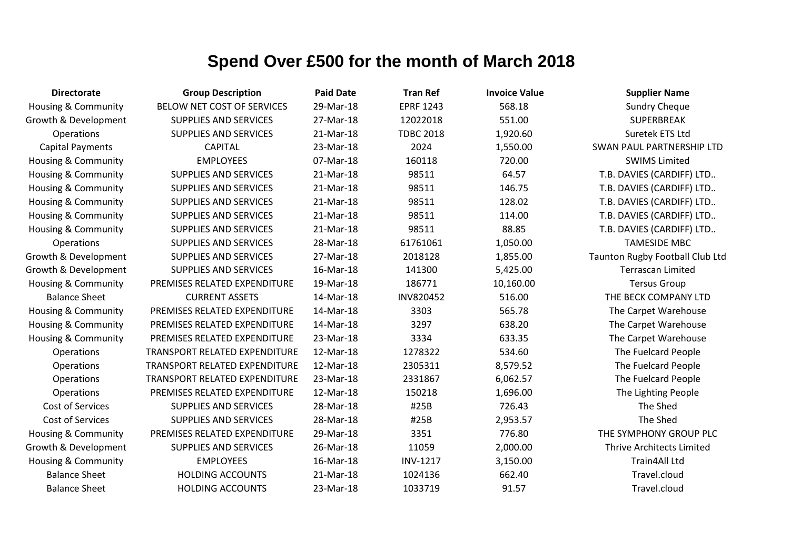| <b>Directorate</b>             | <b>Group Description</b>             | <b>Paid Date</b> | <b>Tran Ref</b>  | <b>Invoice Value</b> | <b>Supplier Name</b>             |
|--------------------------------|--------------------------------------|------------------|------------------|----------------------|----------------------------------|
| <b>Housing &amp; Community</b> | BELOW NET COST OF SERVICES           | 29-Mar-18        | <b>EPRF 1243</b> | 568.18               | <b>Sundry Cheque</b>             |
| Growth & Development           | <b>SUPPLIES AND SERVICES</b>         | 27-Mar-18        | 12022018         | 551.00               | <b>SUPERBREAK</b>                |
| <b>Operations</b>              | <b>SUPPLIES AND SERVICES</b>         | 21-Mar-18        | <b>TDBC 2018</b> | 1,920.60             | Suretek ETS Ltd                  |
| <b>Capital Payments</b>        | <b>CAPITAL</b>                       | 23-Mar-18        | 2024             | 1,550.00             | <b>SWAN PAUL PARTNERSHIP LTD</b> |
| Housing & Community            | <b>EMPLOYEES</b>                     | 07-Mar-18        | 160118           | 720.00               | <b>SWIMS Limited</b>             |
| <b>Housing &amp; Community</b> | <b>SUPPLIES AND SERVICES</b>         | 21-Mar-18        | 98511            | 64.57                | T.B. DAVIES (CARDIFF) LTD        |
| Housing & Community            | <b>SUPPLIES AND SERVICES</b>         | 21-Mar-18        | 98511            | 146.75               | T.B. DAVIES (CARDIFF) LTD        |
| <b>Housing &amp; Community</b> | <b>SUPPLIES AND SERVICES</b>         | 21-Mar-18        | 98511            | 128.02               | T.B. DAVIES (CARDIFF) LTD        |
| <b>Housing &amp; Community</b> | <b>SUPPLIES AND SERVICES</b>         | 21-Mar-18        | 98511            | 114.00               | T.B. DAVIES (CARDIFF) LTD        |
| <b>Housing &amp; Community</b> | <b>SUPPLIES AND SERVICES</b>         | 21-Mar-18        | 98511            | 88.85                | T.B. DAVIES (CARDIFF) LTD        |
| <b>Operations</b>              | <b>SUPPLIES AND SERVICES</b>         | 28-Mar-18        | 61761061         | 1,050.00             | <b>TAMESIDE MBC</b>              |
| Growth & Development           | <b>SUPPLIES AND SERVICES</b>         | 27-Mar-18        | 2018128          | 1,855.00             | Taunton Rugby Football Club Ltd  |
| Growth & Development           | <b>SUPPLIES AND SERVICES</b>         | 16-Mar-18        | 141300           | 5,425.00             | <b>Terrascan Limited</b>         |
| <b>Housing &amp; Community</b> | PREMISES RELATED EXPENDITURE         | 19-Mar-18        | 186771           | 10,160.00            | <b>Tersus Group</b>              |
| <b>Balance Sheet</b>           | <b>CURRENT ASSETS</b>                | 14-Mar-18        | INV820452        | 516.00               | THE BECK COMPANY LTD             |
| <b>Housing &amp; Community</b> | PREMISES RELATED EXPENDITURE         | 14-Mar-18        | 3303             | 565.78               | The Carpet Warehouse             |
| <b>Housing &amp; Community</b> | PREMISES RELATED EXPENDITURE         | 14-Mar-18        | 3297             | 638.20               | The Carpet Warehouse             |
| <b>Housing &amp; Community</b> | PREMISES RELATED EXPENDITURE         | 23-Mar-18        | 3334             | 633.35               | The Carpet Warehouse             |
| Operations                     | TRANSPORT RELATED EXPENDITURE        | 12-Mar-18        | 1278322          | 534.60               | The Fuelcard People              |
| Operations                     | <b>TRANSPORT RELATED EXPENDITURE</b> | 12-Mar-18        | 2305311          | 8,579.52             | The Fuelcard People              |
| Operations                     | TRANSPORT RELATED EXPENDITURE        | 23-Mar-18        | 2331867          | 6,062.57             | The Fuelcard People              |
| Operations                     | PREMISES RELATED EXPENDITURE         | 12-Mar-18        | 150218           | 1,696.00             | The Lighting People              |
| <b>Cost of Services</b>        | <b>SUPPLIES AND SERVICES</b>         | 28-Mar-18        | #25B             | 726.43               | The Shed                         |
| Cost of Services               | <b>SUPPLIES AND SERVICES</b>         | 28-Mar-18        | #25B             | 2,953.57             | The Shed                         |
| <b>Housing &amp; Community</b> | PREMISES RELATED EXPENDITURE         | 29-Mar-18        | 3351             | 776.80               | THE SYMPHONY GROUP PLC           |
| Growth & Development           | <b>SUPPLIES AND SERVICES</b>         | 26-Mar-18        | 11059            | 2,000.00             | <b>Thrive Architects Limited</b> |
| <b>Housing &amp; Community</b> | <b>EMPLOYEES</b>                     | 16-Mar-18        | <b>INV-1217</b>  | 3,150.00             | <b>Train4All Ltd</b>             |
| <b>Balance Sheet</b>           | <b>HOLDING ACCOUNTS</b>              | 21-Mar-18        | 1024136          | 662.40               | Travel.cloud                     |
| <b>Balance Sheet</b>           | <b>HOLDING ACCOUNTS</b>              | 23-Mar-18        | 1033719          | 91.57                | Travel.cloud                     |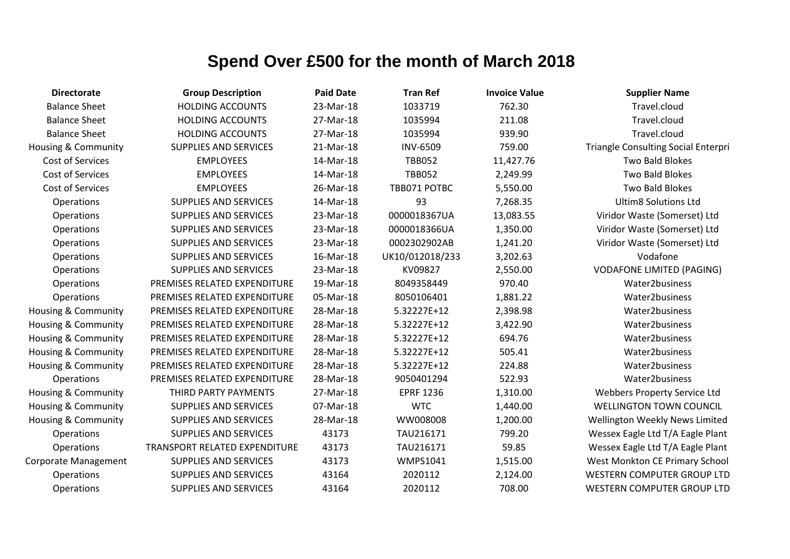| <b>Directorate</b>             | <b>Group Description</b>      | <b>Paid Date</b> | <b>Tran Ref</b>  | <b>Invoice Value</b> | <b>Supplier Name</b>                       |
|--------------------------------|-------------------------------|------------------|------------------|----------------------|--------------------------------------------|
| <b>Balance Sheet</b>           | <b>HOLDING ACCOUNTS</b>       | 23-Mar-18        | 1033719          | 762.30               | Travel.cloud                               |
| <b>Balance Sheet</b>           | <b>HOLDING ACCOUNTS</b>       | 27-Mar-18        | 1035994          | 211.08               | Travel.cloud                               |
| <b>Balance Sheet</b>           | <b>HOLDING ACCOUNTS</b>       | 27-Mar-18        | 1035994          | 939.90               | Travel.cloud                               |
| <b>Housing &amp; Community</b> | <b>SUPPLIES AND SERVICES</b>  | 21-Mar-18        | <b>INV-6509</b>  | 759.00               | <b>Triangle Consulting Social Enterpri</b> |
| Cost of Services               | <b>EMPLOYEES</b>              | 14-Mar-18        | <b>TBB052</b>    | 11,427.76            | Two Bald Blokes                            |
| Cost of Services               | <b>EMPLOYEES</b>              | 14-Mar-18        | <b>TBB052</b>    | 2,249.99             | <b>Two Bald Blokes</b>                     |
| Cost of Services               | <b>EMPLOYEES</b>              | 26-Mar-18        | TBB071 POTBC     | 5,550.00             | <b>Two Bald Blokes</b>                     |
| Operations                     | <b>SUPPLIES AND SERVICES</b>  | 14-Mar-18        | 93               | 7,268.35             | <b>Ultim8 Solutions Ltd</b>                |
| Operations                     | <b>SUPPLIES AND SERVICES</b>  | 23-Mar-18        | 0000018367UA     | 13,083.55            | Viridor Waste (Somerset) Ltd               |
| Operations                     | SUPPLIES AND SERVICES         | 23-Mar-18        | 0000018366UA     | 1,350.00             | Viridor Waste (Somerset) Ltd               |
| Operations                     | <b>SUPPLIES AND SERVICES</b>  | 23-Mar-18        | 0002302902AB     | 1,241.20             | Viridor Waste (Somerset) Ltd               |
| Operations                     | <b>SUPPLIES AND SERVICES</b>  | 16-Mar-18        | UK10/012018/233  | 3,202.63             | Vodafone                                   |
| Operations                     | <b>SUPPLIES AND SERVICES</b>  | 23-Mar-18        | KV09827          | 2,550.00             | <b>VODAFONE LIMITED (PAGING)</b>           |
| Operations                     | PREMISES RELATED EXPENDITURE  | 19-Mar-18        | 8049358449       | 970.40               | Water2business                             |
| Operations                     | PREMISES RELATED EXPENDITURE  | 05-Mar-18        | 8050106401       | 1,881.22             | Water2business                             |
| <b>Housing &amp; Community</b> | PREMISES RELATED EXPENDITURE  | 28-Mar-18        | 5.32227E+12      | 2,398.98             | Water2business                             |
| Housing & Community            | PREMISES RELATED EXPENDITURE  | 28-Mar-18        | 5.32227E+12      | 3,422.90             | Water2business                             |
| Housing & Community            | PREMISES RELATED EXPENDITURE  | 28-Mar-18        | 5.32227E+12      | 694.76               | Water2business                             |
| Housing & Community            | PREMISES RELATED EXPENDITURE  | 28-Mar-18        | 5.32227E+12      | 505.41               | Water2business                             |
| <b>Housing &amp; Community</b> | PREMISES RELATED EXPENDITURE  | 28-Mar-18        | 5.32227E+12      | 224.88               | Water2business                             |
| Operations                     | PREMISES RELATED EXPENDITURE  | 28-Mar-18        | 9050401294       | 522.93               | Water2business                             |
| <b>Housing &amp; Community</b> | THIRD PARTY PAYMENTS          | 27-Mar-18        | <b>EPRF 1236</b> | 1,310.00             | <b>Webbers Property Service Ltd</b>        |
| Housing & Community            | <b>SUPPLIES AND SERVICES</b>  | 07-Mar-18        | <b>WTC</b>       | 1,440.00             | <b>WELLINGTON TOWN COUNCIL</b>             |
| <b>Housing &amp; Community</b> | <b>SUPPLIES AND SERVICES</b>  | 28-Mar-18        | WW008008         | 1,200.00             | Wellington Weekly News Limited             |
| Operations                     | SUPPLIES AND SERVICES         | 43173            | TAU216171        | 799.20               | Wessex Eagle Ltd T/A Eagle Plant           |
| Operations                     | TRANSPORT RELATED EXPENDITURE | 43173            | TAU216171        | 59.85                | Wessex Eagle Ltd T/A Eagle Plant           |
| Corporate Management           | <b>SUPPLIES AND SERVICES</b>  | 43173            | <b>WMPS1041</b>  | 1,515.00             | West Monkton CE Primary School             |
| Operations                     | <b>SUPPLIES AND SERVICES</b>  | 43164            | 2020112          | 2,124.00             | <b>WESTERN COMPUTER GROUP LTD</b>          |
| Operations                     | <b>SUPPLIES AND SERVICES</b>  | 43164            | 2020112          | 708.00               | <b>WESTERN COMPUTER GROUP LTD</b>          |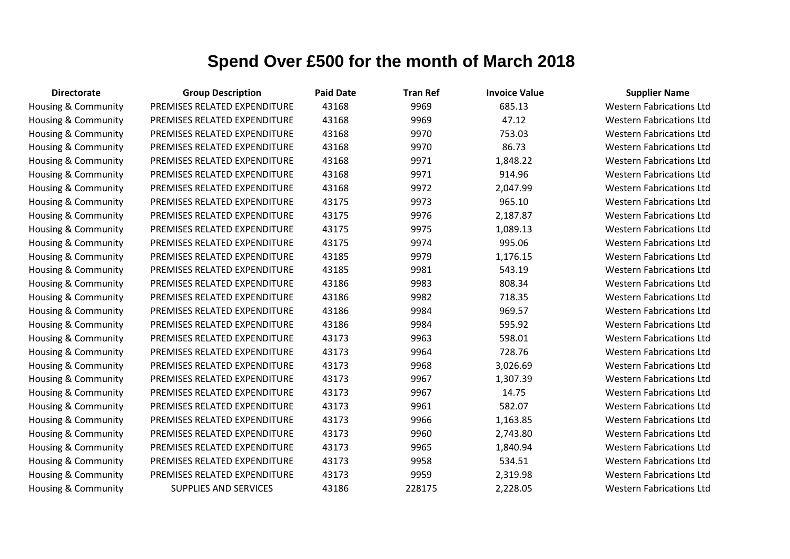| <b>Directorate</b>             | <b>Group Description</b>     | <b>Paid Date</b> | <b>Tran Ref</b> | <b>Invoice Value</b> | <b>Supplier Name</b>            |
|--------------------------------|------------------------------|------------------|-----------------|----------------------|---------------------------------|
| Housing & Community            | PREMISES RELATED EXPENDITURE | 43168            | 9969            | 685.13               | <b>Western Fabrications Ltd</b> |
| Housing & Community            | PREMISES RELATED EXPENDITURE | 43168            | 9969            | 47.12                | <b>Western Fabrications Ltd</b> |
| Housing & Community            | PREMISES RELATED EXPENDITURE | 43168            | 9970            | 753.03               | <b>Western Fabrications Ltd</b> |
| <b>Housing &amp; Community</b> | PREMISES RELATED EXPENDITURE | 43168            | 9970            | 86.73                | <b>Western Fabrications Ltd</b> |
| Housing & Community            | PREMISES RELATED EXPENDITURE | 43168            | 9971            | 1,848.22             | <b>Western Fabrications Ltd</b> |
| Housing & Community            | PREMISES RELATED EXPENDITURE | 43168            | 9971            | 914.96               | <b>Western Fabrications Ltd</b> |
| Housing & Community            | PREMISES RELATED EXPENDITURE | 43168            | 9972            | 2,047.99             | <b>Western Fabrications Ltd</b> |
| Housing & Community            | PREMISES RELATED EXPENDITURE | 43175            | 9973            | 965.10               | <b>Western Fabrications Ltd</b> |
| Housing & Community            | PREMISES RELATED EXPENDITURE | 43175            | 9976            | 2,187.87             | <b>Western Fabrications Ltd</b> |
| Housing & Community            | PREMISES RELATED EXPENDITURE | 43175            | 9975            | 1,089.13             | <b>Western Fabrications Ltd</b> |
| Housing & Community            | PREMISES RELATED EXPENDITURE | 43175            | 9974            | 995.06               | <b>Western Fabrications Ltd</b> |
| Housing & Community            | PREMISES RELATED EXPENDITURE | 43185            | 9979            | 1,176.15             | <b>Western Fabrications Ltd</b> |
| <b>Housing &amp; Community</b> | PREMISES RELATED EXPENDITURE | 43185            | 9981            | 543.19               | <b>Western Fabrications Ltd</b> |
| <b>Housing &amp; Community</b> | PREMISES RELATED EXPENDITURE | 43186            | 9983            | 808.34               | <b>Western Fabrications Ltd</b> |
| Housing & Community            | PREMISES RELATED EXPENDITURE | 43186            | 9982            | 718.35               | <b>Western Fabrications Ltd</b> |
| <b>Housing &amp; Community</b> | PREMISES RELATED EXPENDITURE | 43186            | 9984            | 969.57               | <b>Western Fabrications Ltd</b> |
| <b>Housing &amp; Community</b> | PREMISES RELATED EXPENDITURE | 43186            | 9984            | 595.92               | <b>Western Fabrications Ltd</b> |
| <b>Housing &amp; Community</b> | PREMISES RELATED EXPENDITURE | 43173            | 9963            | 598.01               | <b>Western Fabrications Ltd</b> |
| Housing & Community            | PREMISES RELATED EXPENDITURE | 43173            | 9964            | 728.76               | <b>Western Fabrications Ltd</b> |
| <b>Housing &amp; Community</b> | PREMISES RELATED EXPENDITURE | 43173            | 9968            | 3,026.69             | <b>Western Fabrications Ltd</b> |
| <b>Housing &amp; Community</b> | PREMISES RELATED EXPENDITURE | 43173            | 9967            | 1,307.39             | <b>Western Fabrications Ltd</b> |
| <b>Housing &amp; Community</b> | PREMISES RELATED EXPENDITURE | 43173            | 9967            | 14.75                | <b>Western Fabrications Ltd</b> |
| Housing & Community            | PREMISES RELATED EXPENDITURE | 43173            | 9961            | 582.07               | <b>Western Fabrications Ltd</b> |
| Housing & Community            | PREMISES RELATED EXPENDITURE | 43173            | 9966            | 1,163.85             | <b>Western Fabrications Ltd</b> |
| <b>Housing &amp; Community</b> | PREMISES RELATED EXPENDITURE | 43173            | 9960            | 2,743.80             | <b>Western Fabrications Ltd</b> |
| <b>Housing &amp; Community</b> | PREMISES RELATED EXPENDITURE | 43173            | 9965            | 1,840.94             | <b>Western Fabrications Ltd</b> |
| Housing & Community            | PREMISES RELATED EXPENDITURE | 43173            | 9958            | 534.51               | <b>Western Fabrications Ltd</b> |
| Housing & Community            | PREMISES RELATED EXPENDITURE | 43173            | 9959            | 2,319.98             | <b>Western Fabrications Ltd</b> |
| Housing & Community            | <b>SUPPLIES AND SERVICES</b> | 43186            | 228175          | 2,228.05             | <b>Western Fabrications Ltd</b> |